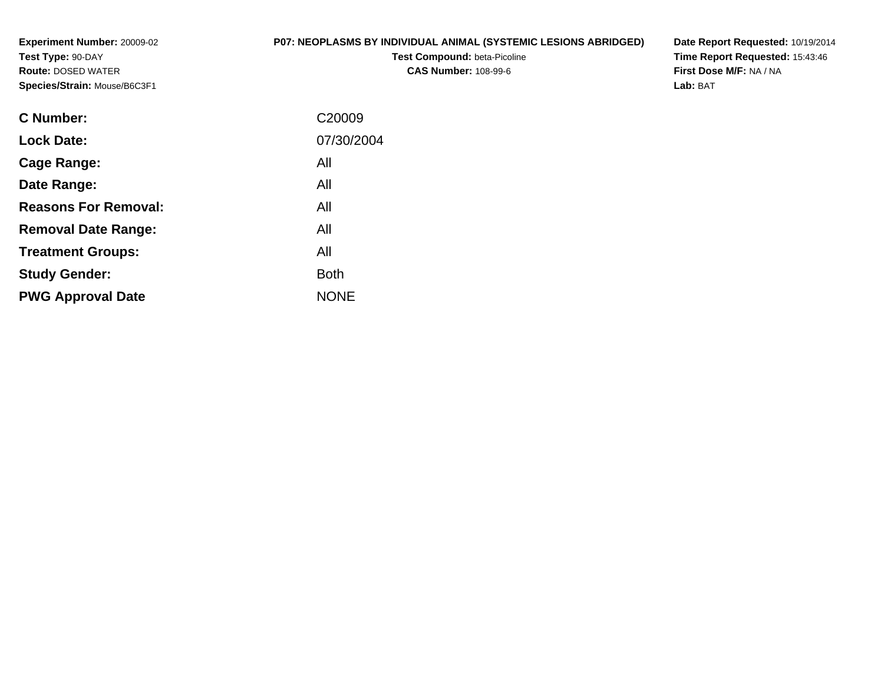**Experiment Number:** 20009-02**Test Type:** 90-DAY **Route:** DOSED WATER**Species/Strain:** Mouse/B6C3F1

# **P07: NEOPLASMS BY INDIVIDUAL ANIMAL (SYSTEMIC LESIONS ABRIDGED)**

**Test Compound:** beta-Picoline**CAS Number:** 108-99-6

**Date Report Requested:** 10/19/2014 **Time Report Requested:** 15:43:46**First Dose M/F:** NA / NA**Lab:** BAT

| C <sub>20009</sub> |
|--------------------|
| 07/30/2004         |
| All                |
| All                |
| All                |
| All                |
| All                |
| <b>Both</b>        |
| <b>NONE</b>        |
|                    |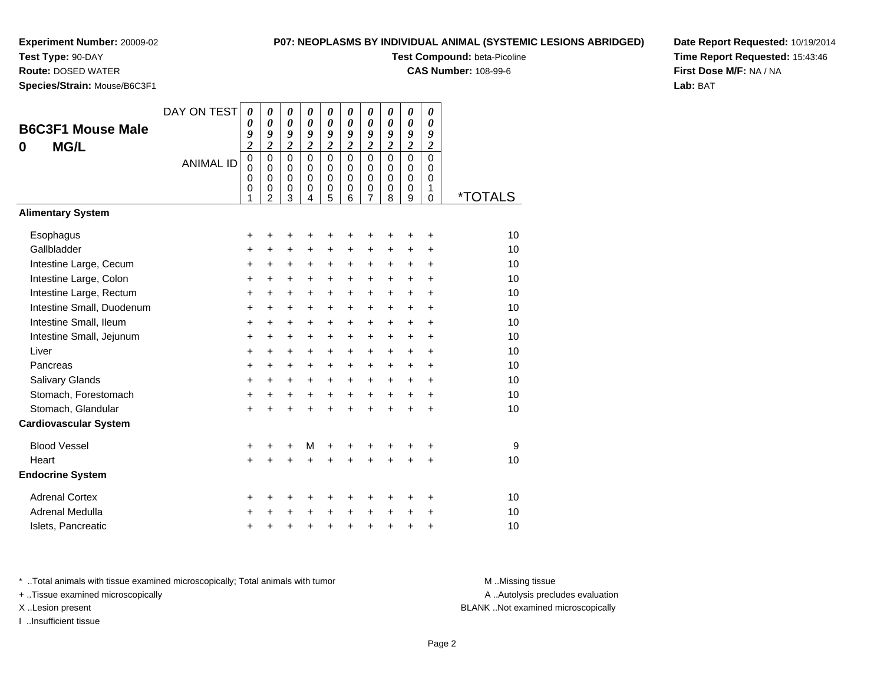**Test Type:** 90-DAY

**Route:** DOSED WATER

**Species/Strain:** Mouse/B6C3F1

### **P07: NEOPLASMS BY INDIVIDUAL ANIMAL (SYSTEMIC LESIONS ABRIDGED)**

**Test Compound:** beta-Picoline

**CAS Number:** 108-99-6

**Date Report Requested:** 10/19/2014**Time Report Requested:** 15:43:46**First Dose M/F:** NA / NA**Lab:** BAT

| <b>B6C3F1 Mouse Male</b><br><b>MG/L</b><br>0 | DAY ON TEST<br><b>ANIMAL ID</b> | $\boldsymbol{\theta}$<br>0<br>9<br>$\overline{\mathbf{c}}$<br>$\pmb{0}$<br>$\mathbf 0$<br>0<br>0<br>1 | 0<br>0<br>9<br>$\overline{\mathbf{c}}$<br>$\mathbf 0$<br>$\mathbf 0$<br>0<br>0<br>$\overline{2}$ | $\boldsymbol{\theta}$<br>$\boldsymbol{\theta}$<br>9<br>$\boldsymbol{2}$<br>$\mathbf 0$<br>$\mathbf 0$<br>$\mathbf 0$<br>0<br>3 | $\boldsymbol{\theta}$<br>$\boldsymbol{\theta}$<br>9<br>$\overline{2}$<br>$\mathbf 0$<br>0<br>$\mathbf 0$<br>$\mathbf 0$<br>4 | 0<br>0<br>9<br>$\overline{\mathbf{c}}$<br>$\mathbf 0$<br>$\mathbf 0$<br>$\mathbf 0$<br>$\pmb{0}$<br>5 | 0<br>$\boldsymbol{\theta}$<br>9<br>$\overline{\mathbf{c}}$<br>$\Omega$<br>$\Omega$<br>$\mathbf 0$<br>$\pmb{0}$<br>6 | $\pmb{\theta}$<br>$\boldsymbol{\theta}$<br>9<br>$\boldsymbol{2}$<br>$\mathbf 0$<br>0<br>$\mathbf 0$<br>0<br>$\overline{7}$ | $\boldsymbol{\theta}$<br>0<br>9<br>$\boldsymbol{2}$<br>$\mathbf 0$<br>$\Omega$<br>$\mathbf 0$<br>0<br>8 | $\boldsymbol{\theta}$<br>$\boldsymbol{\theta}$<br>9<br>$\boldsymbol{2}$<br>$\mathbf 0$<br>0<br>$\mathbf 0$<br>$\pmb{0}$<br>9 | 0<br>0<br>9<br>$\boldsymbol{2}$<br>$\mathbf 0$<br>0<br>$\mathbf 0$<br>1<br>$\Omega$ | <i><b>*TOTALS</b></i> |
|----------------------------------------------|---------------------------------|-------------------------------------------------------------------------------------------------------|--------------------------------------------------------------------------------------------------|--------------------------------------------------------------------------------------------------------------------------------|------------------------------------------------------------------------------------------------------------------------------|-------------------------------------------------------------------------------------------------------|---------------------------------------------------------------------------------------------------------------------|----------------------------------------------------------------------------------------------------------------------------|---------------------------------------------------------------------------------------------------------|------------------------------------------------------------------------------------------------------------------------------|-------------------------------------------------------------------------------------|-----------------------|
| <b>Alimentary System</b>                     |                                 |                                                                                                       |                                                                                                  |                                                                                                                                |                                                                                                                              |                                                                                                       |                                                                                                                     |                                                                                                                            |                                                                                                         |                                                                                                                              |                                                                                     |                       |
| Esophagus                                    |                                 | +                                                                                                     | +                                                                                                | +                                                                                                                              | +                                                                                                                            | +                                                                                                     | +                                                                                                                   | +                                                                                                                          | +                                                                                                       | +                                                                                                                            | +                                                                                   | 10                    |
| Gallbladder                                  |                                 | $\ddot{}$                                                                                             | $\ddot{}$                                                                                        | $\ddot{}$                                                                                                                      | $\ddot{}$                                                                                                                    | +                                                                                                     | $\ddot{}$                                                                                                           | $\ddot{}$                                                                                                                  | $\ddot{}$                                                                                               | $\ddot{}$                                                                                                                    | $\ddot{}$                                                                           | 10                    |
| Intestine Large, Cecum                       |                                 | +                                                                                                     | +                                                                                                | +                                                                                                                              | +                                                                                                                            | $\ddot{}$                                                                                             | +                                                                                                                   | $\ddot{}$                                                                                                                  | +                                                                                                       | $\ddot{}$                                                                                                                    | $\ddot{}$                                                                           | 10                    |
| Intestine Large, Colon                       |                                 | +                                                                                                     | +                                                                                                | +                                                                                                                              | $\ddot{}$                                                                                                                    | $\ddot{}$                                                                                             | $\ddot{}$                                                                                                           | $\ddot{}$                                                                                                                  | $\ddot{}$                                                                                               | $\ddot{}$                                                                                                                    | +                                                                                   | 10                    |
| Intestine Large, Rectum                      |                                 | $\ddot{}$                                                                                             | $\ddot{}$                                                                                        | $\ddot{}$                                                                                                                      | $\ddot{}$                                                                                                                    | $\ddot{}$                                                                                             | $\ddot{}$                                                                                                           | $\ddot{}$                                                                                                                  | $\ddot{}$                                                                                               | $+$                                                                                                                          | $\ddot{}$                                                                           | 10                    |
| Intestine Small, Duodenum                    |                                 | +                                                                                                     | $\ddot{}$                                                                                        | +                                                                                                                              | +                                                                                                                            | +                                                                                                     | +                                                                                                                   | $\ddot{}$                                                                                                                  | +                                                                                                       | $\ddot{}$                                                                                                                    | $\ddot{}$                                                                           | 10                    |
| Intestine Small, Ileum                       |                                 | $\ddot{}$                                                                                             | +                                                                                                | +                                                                                                                              | $\ddot{}$                                                                                                                    | $\ddot{}$                                                                                             | +                                                                                                                   | $\ddot{}$                                                                                                                  | $\ddot{}$                                                                                               | $\ddot{}$                                                                                                                    | $\ddot{}$                                                                           | 10                    |
| Intestine Small, Jejunum                     |                                 | $\ddot{}$                                                                                             | +                                                                                                | $\ddot{}$                                                                                                                      | $\ddot{}$                                                                                                                    | $\ddot{}$                                                                                             | $\ddot{}$                                                                                                           | $\ddot{}$                                                                                                                  | $\ddot{}$                                                                                               | $\ddot{}$                                                                                                                    | $\ddot{}$                                                                           | 10                    |
| Liver                                        |                                 | +                                                                                                     | $\ddot{}$                                                                                        | +                                                                                                                              | $\ddot{}$                                                                                                                    | $\ddot{}$                                                                                             | +                                                                                                                   | $\ddot{}$                                                                                                                  | $\ddot{}$                                                                                               | $\ddot{}$                                                                                                                    | $\ddot{}$                                                                           | 10                    |
| Pancreas                                     |                                 | $\ddot{}$                                                                                             | +                                                                                                | +                                                                                                                              | $\ddot{}$                                                                                                                    | +                                                                                                     | $\ddot{}$                                                                                                           | $\ddot{}$                                                                                                                  | $\ddot{}$                                                                                               | $\ddot{}$                                                                                                                    | $\ddot{}$                                                                           | 10                    |
| Salivary Glands                              |                                 | $\ddot{}$                                                                                             | $\ddot{}$                                                                                        | +                                                                                                                              | $\ddot{}$                                                                                                                    | $\ddot{}$                                                                                             | +                                                                                                                   | $\ddot{}$                                                                                                                  | $\ddot{}$                                                                                               | $\ddot{}$                                                                                                                    | $\ddot{}$                                                                           | 10                    |
| Stomach, Forestomach                         |                                 | +                                                                                                     | $\pm$                                                                                            | +                                                                                                                              | $\ddot{}$                                                                                                                    | $\ddot{}$                                                                                             | $\ddot{}$                                                                                                           | $\ddot{}$                                                                                                                  | $\ddot{}$                                                                                               | $+$                                                                                                                          | $\ddot{}$                                                                           | 10                    |
| Stomach, Glandular                           |                                 | $\ddot{}$                                                                                             | $\ddot{}$                                                                                        | $\ddot{}$                                                                                                                      | $\ddot{}$                                                                                                                    | $\ddot{}$                                                                                             | ÷                                                                                                                   | $\ddot{}$                                                                                                                  | $\ddot{}$                                                                                               | $+$                                                                                                                          | $\ddot{}$                                                                           | 10                    |
| <b>Cardiovascular System</b>                 |                                 |                                                                                                       |                                                                                                  |                                                                                                                                |                                                                                                                              |                                                                                                       |                                                                                                                     |                                                                                                                            |                                                                                                         |                                                                                                                              |                                                                                     |                       |
| <b>Blood Vessel</b>                          |                                 | +                                                                                                     | +                                                                                                | +                                                                                                                              | M                                                                                                                            | +                                                                                                     | +                                                                                                                   | +                                                                                                                          | +                                                                                                       | +                                                                                                                            | +                                                                                   | 9                     |
| Heart                                        |                                 | $\ddot{}$                                                                                             | Ŧ.                                                                                               | $\ddot{}$                                                                                                                      | $\ddot{}$                                                                                                                    | $\ddot{}$                                                                                             |                                                                                                                     | $\ddot{}$                                                                                                                  | ÷                                                                                                       |                                                                                                                              | $\ddot{}$                                                                           | 10                    |
| <b>Endocrine System</b>                      |                                 |                                                                                                       |                                                                                                  |                                                                                                                                |                                                                                                                              |                                                                                                       |                                                                                                                     |                                                                                                                            |                                                                                                         |                                                                                                                              |                                                                                     |                       |
| <b>Adrenal Cortex</b>                        |                                 | +                                                                                                     | +                                                                                                | +                                                                                                                              | +                                                                                                                            | +                                                                                                     | +                                                                                                                   | +                                                                                                                          | +                                                                                                       | +                                                                                                                            | +                                                                                   | 10                    |
| Adrenal Medulla                              |                                 | +                                                                                                     | +                                                                                                | +                                                                                                                              | $\ddot{}$                                                                                                                    | $\ddot{}$                                                                                             | $\ddot{}$                                                                                                           | $\ddot{}$                                                                                                                  | $\ddot{}$                                                                                               | $\ddot{}$                                                                                                                    | $\ddot{}$                                                                           | 10                    |
| Islets, Pancreatic                           |                                 | +                                                                                                     | +                                                                                                | +                                                                                                                              | +                                                                                                                            | $\pmb{+}$                                                                                             | +                                                                                                                   | +                                                                                                                          | $\ddot{}$                                                                                               | +                                                                                                                            | +                                                                                   | 10                    |

\* ..Total animals with tissue examined microscopically; Total animals with tumor **M** . Missing tissue M ..Missing tissue

+ ..Tissue examined microscopically

I ..Insufficient tissue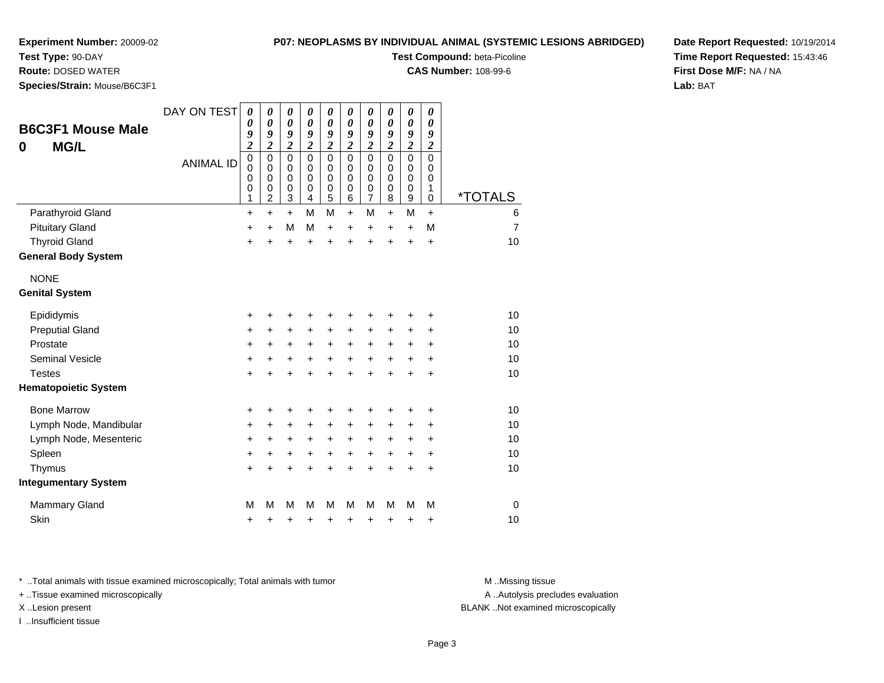**Test Type:** 90-DAY

**Route:** DOSED WATER

**Species/Strain:** Mouse/B6C3F1

### **P07: NEOPLASMS BY INDIVIDUAL ANIMAL (SYSTEMIC LESIONS ABRIDGED)**

**Test Compound:** beta-Picoline

**CAS Number:** 108-99-6

**Date Report Requested:** 10/19/2014**Time Report Requested:** 15:43:46**First Dose M/F:** NA / NA**Lab:** BAT

| <b>B6C3F1 Mouse Male</b><br><b>MG/L</b><br>0 | DAY ON TEST<br><b>ANIMAL ID</b> | $\boldsymbol{\theta}$<br>$\boldsymbol{\theta}$<br>9<br>$\overline{\mathbf{c}}$<br>$\mathbf 0$<br>$\mathbf 0$<br>0<br>$\mathbf 0$<br>1 | 0<br>$\boldsymbol{\theta}$<br>9<br>$\overline{\mathbf{c}}$<br>$\mathbf 0$<br>$\Omega$<br>0<br>0<br>$\overline{2}$ | 0<br>$\boldsymbol{\theta}$<br>9<br>$\overline{2}$<br>$\mathbf 0$<br>$\mathbf 0$<br>0<br>$\mathbf 0$<br>$\mathbf{3}$ | 0<br>$\boldsymbol{\theta}$<br>9<br>$\overline{\mathbf{c}}$<br>$\Omega$<br>$\Omega$<br>0<br>$\mathbf 0$<br>$\overline{4}$ | 0<br>$\boldsymbol{\theta}$<br>9<br>$\overline{\mathbf{c}}$<br>$\mathbf 0$<br>$\mathbf 0$<br>0<br>$\mathbf 0$<br>5 | 0<br>0<br>9<br>$\boldsymbol{2}$<br>$\Omega$<br>$\Omega$<br>0<br>$\pmb{0}$<br>6 | 0<br>0<br>9<br>$\boldsymbol{2}$<br>$\Omega$<br>0<br>0<br>0<br>$\overline{7}$ | 0<br>0<br>9<br>$\boldsymbol{2}$<br>$\Omega$<br>$\Omega$<br>0<br>0<br>8 | $\boldsymbol{\theta}$<br>$\boldsymbol{\theta}$<br>9<br>$\boldsymbol{2}$<br>$\mathbf 0$<br>$\mathbf 0$<br>0<br>$\mathbf 0$<br>9 | 0<br>0<br>9<br>$\overline{c}$<br>$\mathbf 0$<br>0<br>0<br>1<br>0 | <i><b>*TOTALS</b></i> |
|----------------------------------------------|---------------------------------|---------------------------------------------------------------------------------------------------------------------------------------|-------------------------------------------------------------------------------------------------------------------|---------------------------------------------------------------------------------------------------------------------|--------------------------------------------------------------------------------------------------------------------------|-------------------------------------------------------------------------------------------------------------------|--------------------------------------------------------------------------------|------------------------------------------------------------------------------|------------------------------------------------------------------------|--------------------------------------------------------------------------------------------------------------------------------|------------------------------------------------------------------|-----------------------|
| Parathyroid Gland                            |                                 | $\ddot{}$                                                                                                                             | $\ddot{}$                                                                                                         | $\ddot{}$                                                                                                           | M                                                                                                                        | M                                                                                                                 | $\ddot{}$                                                                      | M                                                                            | $\ddot{}$                                                              | M                                                                                                                              | $\ddot{}$                                                        | 6                     |
| <b>Pituitary Gland</b>                       |                                 | $\ddot{}$                                                                                                                             | $\ddot{}$                                                                                                         | M                                                                                                                   | M                                                                                                                        | +                                                                                                                 | $\ddot{}$                                                                      | +                                                                            | $\ddot{}$                                                              | $\ddot{}$                                                                                                                      | M                                                                | $\overline{7}$        |
| <b>Thyroid Gland</b>                         |                                 | $\ddot{}$                                                                                                                             | $\ddot{}$                                                                                                         | +                                                                                                                   | $\ddot{}$                                                                                                                | $\ddot{}$                                                                                                         | $\ddot{}$                                                                      | $\ddot{}$                                                                    | $\ddot{}$                                                              | $\ddot{}$                                                                                                                      | $\ddot{}$                                                        | 10                    |
| <b>General Body System</b>                   |                                 |                                                                                                                                       |                                                                                                                   |                                                                                                                     |                                                                                                                          |                                                                                                                   |                                                                                |                                                                              |                                                                        |                                                                                                                                |                                                                  |                       |
| <b>NONE</b>                                  |                                 |                                                                                                                                       |                                                                                                                   |                                                                                                                     |                                                                                                                          |                                                                                                                   |                                                                                |                                                                              |                                                                        |                                                                                                                                |                                                                  |                       |
| <b>Genital System</b>                        |                                 |                                                                                                                                       |                                                                                                                   |                                                                                                                     |                                                                                                                          |                                                                                                                   |                                                                                |                                                                              |                                                                        |                                                                                                                                |                                                                  |                       |
| Epididymis                                   |                                 | +                                                                                                                                     | +                                                                                                                 | +                                                                                                                   | +                                                                                                                        | +                                                                                                                 | +                                                                              | +                                                                            | +                                                                      | +                                                                                                                              | +                                                                | 10                    |
| <b>Preputial Gland</b>                       |                                 | $\ddot{}$                                                                                                                             | $\ddot{}$                                                                                                         | +                                                                                                                   | $\ddot{}$                                                                                                                | +                                                                                                                 | +                                                                              | +                                                                            | +                                                                      | +                                                                                                                              | +                                                                | 10                    |
| Prostate                                     |                                 | +                                                                                                                                     | $\ddot{}$                                                                                                         | $\ddot{}$                                                                                                           | $\ddot{}$                                                                                                                | $\ddot{}$                                                                                                         | $\ddot{}$                                                                      | +                                                                            | $\ddot{}$                                                              | $\ddot{}$                                                                                                                      | $\ddot{}$                                                        | 10                    |
| <b>Seminal Vesicle</b>                       |                                 | +                                                                                                                                     | +                                                                                                                 | +                                                                                                                   | $\ddot{}$                                                                                                                | +                                                                                                                 | $\ddot{}$                                                                      | $\ddot{}$                                                                    | +                                                                      | $\ddot{}$                                                                                                                      | +                                                                | 10                    |
| <b>Testes</b>                                |                                 | +                                                                                                                                     | +                                                                                                                 | $\ddot{}$                                                                                                           | +                                                                                                                        | $\ddot{}$                                                                                                         | $\ddot{}$                                                                      | $\ddot{}$                                                                    | $\ddot{}$                                                              | $\ddot{}$                                                                                                                      | $\ddot{}$                                                        | 10                    |
| <b>Hematopoietic System</b>                  |                                 |                                                                                                                                       |                                                                                                                   |                                                                                                                     |                                                                                                                          |                                                                                                                   |                                                                                |                                                                              |                                                                        |                                                                                                                                |                                                                  |                       |
| <b>Bone Marrow</b>                           |                                 | +                                                                                                                                     | +                                                                                                                 | +                                                                                                                   |                                                                                                                          | +                                                                                                                 |                                                                                | +                                                                            | +                                                                      | +                                                                                                                              | +                                                                | 10                    |
| Lymph Node, Mandibular                       |                                 | +                                                                                                                                     | +                                                                                                                 | +                                                                                                                   | $\ddot{}$                                                                                                                | +                                                                                                                 | $\ddot{}$                                                                      | $\ddot{}$                                                                    | +                                                                      | +                                                                                                                              | +                                                                | 10                    |
| Lymph Node, Mesenteric                       |                                 | +                                                                                                                                     | +                                                                                                                 | +                                                                                                                   | +                                                                                                                        | +                                                                                                                 | +                                                                              | +                                                                            | +                                                                      | +                                                                                                                              | +                                                                | 10                    |
| Spleen                                       |                                 | $\ddot{}$                                                                                                                             | +                                                                                                                 | +                                                                                                                   | +                                                                                                                        | +                                                                                                                 | $\ddot{}$                                                                      | $\ddot{}$                                                                    | $\ddot{}$                                                              | +                                                                                                                              | +                                                                | 10                    |
| Thymus                                       |                                 | $\ddot{}$                                                                                                                             |                                                                                                                   |                                                                                                                     |                                                                                                                          | +                                                                                                                 | +                                                                              | $\ddot{}$                                                                    | $\ddot{}$                                                              | $\ddot{}$                                                                                                                      | +                                                                | 10                    |
| <b>Integumentary System</b>                  |                                 |                                                                                                                                       |                                                                                                                   |                                                                                                                     |                                                                                                                          |                                                                                                                   |                                                                                |                                                                              |                                                                        |                                                                                                                                |                                                                  |                       |
| <b>Mammary Gland</b>                         |                                 | M                                                                                                                                     | М                                                                                                                 | M                                                                                                                   | M                                                                                                                        | M                                                                                                                 | М                                                                              | M                                                                            | м                                                                      | M                                                                                                                              | M                                                                | $\mathbf 0$           |
| Skin                                         |                                 | +                                                                                                                                     | +                                                                                                                 | +                                                                                                                   | +                                                                                                                        | +                                                                                                                 | +                                                                              | +                                                                            | +                                                                      | +                                                                                                                              | +                                                                | 10                    |

\* ..Total animals with tissue examined microscopically; Total animals with tumor **M** . Missing tissue M ..Missing tissue

+ ..Tissue examined microscopically

I ..Insufficient tissue

A ..Autolysis precludes evaluation

X ..Lesion present BLANK ..Not examined microscopically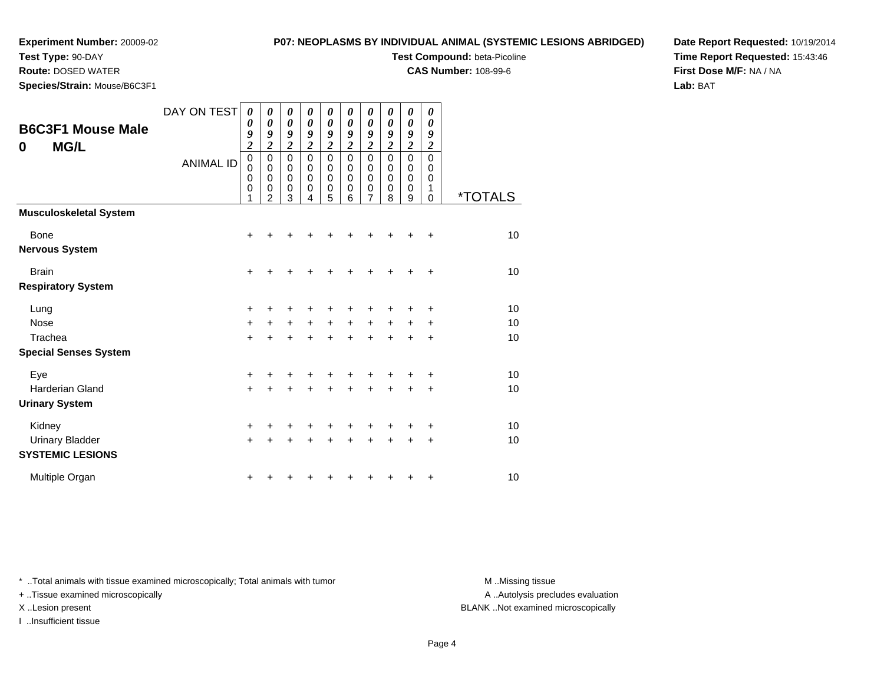**Test Type:** 90-DAY

## **P07: NEOPLASMS BY INDIVIDUAL ANIMAL (SYSTEMIC LESIONS ABRIDGED)**

**Test Compound:** beta-Picoline

**CAS Number:** 108-99-6

**Date Report Requested:** 10/19/2014**Time Report Requested:** 15:43:46**First Dose M/F:** NA / NA**Lab:** BAT

| <b>Route:</b> DOSED WATER    |  |
|------------------------------|--|
| Species/Strain: Mouse/B6C3F1 |  |

|                                                     | DAY ON TEST      | 0<br>0                                              | 0<br>$\boldsymbol{\theta}$                | $\boldsymbol{\theta}$<br>$\boldsymbol{\theta}$      | 0<br>$\pmb{\theta}$             | 0<br>$\pmb{\theta}$          | 0<br>$\boldsymbol{\theta}$                | 0<br>0                                                 | 0<br>$\boldsymbol{\theta}$                | $\boldsymbol{\theta}$<br>$\boldsymbol{\theta}$ | 0<br>0                          |                       |
|-----------------------------------------------------|------------------|-----------------------------------------------------|-------------------------------------------|-----------------------------------------------------|---------------------------------|------------------------------|-------------------------------------------|--------------------------------------------------------|-------------------------------------------|------------------------------------------------|---------------------------------|-----------------------|
| <b>B6C3F1 Mouse Male</b><br><b>MG/L</b><br>$\bf{0}$ |                  | 9<br>$\overline{\mathbf{c}}$                        | 9<br>$\overline{2}$                       | 9<br>$\boldsymbol{2}$                               | 9<br>$\overline{c}$             | 9<br>$\overline{\mathbf{2}}$ | 9<br>$\overline{2}$                       | 9<br>$\overline{2}$                                    | 9<br>$\overline{2}$                       | 9<br>$\overline{\mathbf{c}}$                   | 9<br>$\overline{c}$             |                       |
|                                                     | <b>ANIMAL ID</b> | $\mathbf 0$<br>$\mathbf 0$<br>0<br>$\mathbf 0$<br>1 | 0<br>$\Omega$<br>0<br>0<br>$\overline{2}$ | $\mathbf 0$<br>0<br>$\mathbf 0$<br>$\mathbf 0$<br>3 | $\mathbf 0$<br>0<br>0<br>0<br>4 | 0<br>0<br>0<br>0<br>5        | $\mathbf 0$<br>0<br>$\mathbf 0$<br>0<br>6 | $\mathbf 0$<br>0<br>$\mathbf 0$<br>0<br>$\overline{7}$ | $\mathbf 0$<br>0<br>$\mathbf 0$<br>0<br>8 | $\mathbf 0$<br>0<br>$\mathbf 0$<br>0<br>9      | 0<br>0<br>0<br>1<br>$\mathbf 0$ | <i><b>*TOTALS</b></i> |
| <b>Musculoskeletal System</b>                       |                  |                                                     |                                           |                                                     |                                 |                              |                                           |                                                        |                                           |                                                |                                 |                       |
| Bone                                                |                  | $\ddot{}$                                           | +                                         |                                                     |                                 |                              |                                           |                                                        | ٠                                         | +                                              | $\ddot{}$                       | 10                    |
| <b>Nervous System</b>                               |                  |                                                     |                                           |                                                     |                                 |                              |                                           |                                                        |                                           |                                                |                                 |                       |
| <b>Brain</b>                                        |                  | +                                                   | +                                         | +                                                   |                                 | ٠                            |                                           | +                                                      | $\ddot{}$                                 | +                                              | $\ddot{}$                       | 10                    |
| <b>Respiratory System</b>                           |                  |                                                     |                                           |                                                     |                                 |                              |                                           |                                                        |                                           |                                                |                                 |                       |
| Lung                                                |                  | +                                                   | +                                         | ٠                                                   | ٠                               | +                            | +                                         | +                                                      | ÷                                         | +                                              | ÷                               | 10                    |
| Nose                                                |                  | $\ddot{}$                                           | $\ddot{}$                                 | $\ddot{}$                                           | $+$                             | $+$                          | $+$                                       | $+$                                                    | $+$                                       | $+$                                            | $\ddot{}$                       | 10                    |
| Trachea                                             |                  | $+$                                                 | $\ddot{}$                                 | $\ddot{}$                                           | $\ddot{}$                       | $\ddot{}$                    | $\ddot{}$                                 | $+$                                                    | $\ddot{}$                                 | $\ddot{}$                                      | $\ddot{}$                       | 10                    |
| <b>Special Senses System</b>                        |                  |                                                     |                                           |                                                     |                                 |                              |                                           |                                                        |                                           |                                                |                                 |                       |
| Eye                                                 |                  | $\ddot{}$                                           | +                                         | ٠                                                   |                                 | +                            | ÷                                         |                                                        | ÷                                         | ٠                                              | ÷                               | 10                    |
| Harderian Gland<br><b>Urinary System</b>            |                  | $+$                                                 | $\ddot{}$                                 | $\ddot{}$                                           | $\ddot{}$                       | $\ddot{}$                    | $\ddot{}$                                 | $+$                                                    | $\ddot{}$                                 | $\ddot{}$                                      | $\ddot{}$                       | 10                    |
| Kidney                                              |                  | $\ddot{}$                                           | +                                         | ٠                                                   | ÷                               | +                            | ÷                                         | ÷                                                      | +                                         | ٠                                              | $\ddot{}$                       | 10                    |
| <b>Urinary Bladder</b><br><b>SYSTEMIC LESIONS</b>   |                  | $+$                                                 | +                                         | +                                                   | +                               | +                            | $\ddot{}$                                 | $\ddot{}$                                              | $\ddot{}$                                 | $\ddot{}$                                      | $\ddot{}$                       | 10                    |
| Multiple Organ                                      |                  | ٠                                                   | +                                         | +                                                   |                                 | +                            |                                           |                                                        | ٠                                         | +                                              | +                               | 10                    |

\* ..Total animals with tissue examined microscopically; Total animals with tumor **M** . Missing tissue M ..Missing tissue

+ ..Tissue examined microscopically

I ..Insufficient tissue

A ..Autolysis precludes evaluation

X ..Lesion present BLANK ..Not examined microscopically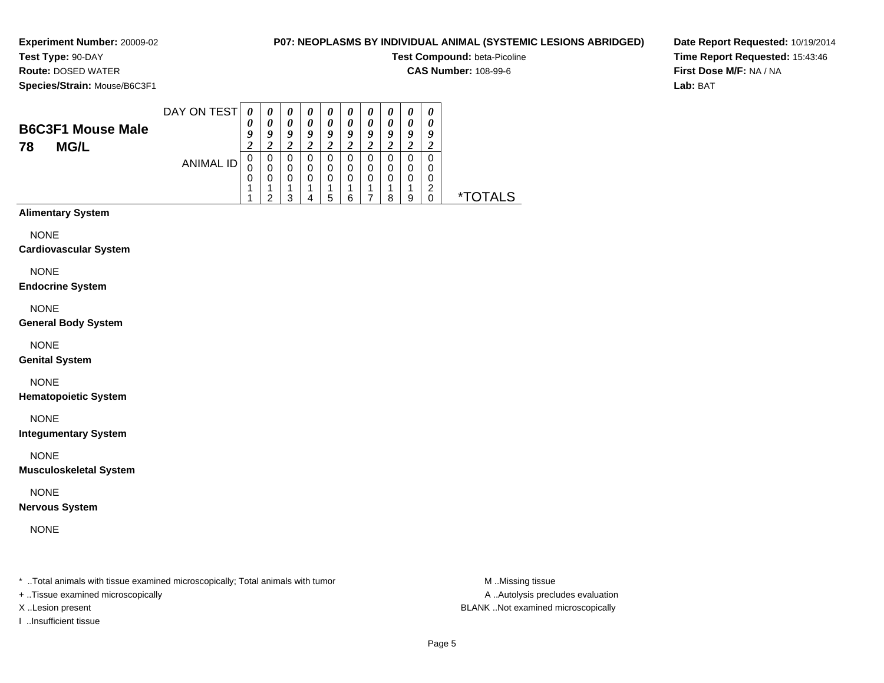**Experiment Number:** 20009-02**Test Type:** 90-DAY

# **P07: NEOPLASMS BY INDIVIDUAL ANIMAL (SYSTEMIC LESIONS ABRIDGED)**

**Test Compound:** beta-Picoline

**CAS Number:** 108-99-6

**Species/Strain:** Mouse/B6C3F1

**Route:** DOSED WATER

**Date Report Requested:** 10/19/2014**Time Report Requested:** 15:43:46**First Dose M/F:** NA / NA**Lab:** BAT

| <b>B6C3F1 Mouse Male</b><br><b>MG/L</b><br>78 | DAY ON TEST | $\boldsymbol{\theta}$<br>U | $\boldsymbol{\theta}$ | 0<br>0<br>O<br>$\overline{v}$ | $\boldsymbol{\theta}$<br>0 | U<br>0<br>Q<br>◢ | u<br>∠ | o<br>∠      |   | U<br>o |            |
|-----------------------------------------------|-------------|----------------------------|-----------------------|-------------------------------|----------------------------|------------------|--------|-------------|---|--------|------------|
|                                               | ANIMAL ID   | 0<br>0<br>0                | 0<br>ີ                | 0<br>0<br>0<br>◠              | 0<br>O                     | 0<br>0<br>0<br>5 | O      | 0<br>0<br>0 | o |        | TAI S<br>× |

# **Alimentary System**

NONE

**Cardiovascular System**

NONE

**Endocrine System**

NONE

**General Body System**

NONE

**Genital System**

NONE

**Hematopoietic System**

NONE

**Integumentary System**

NONE

**Musculoskeletal System**

NONE

**Nervous System**

NONE

\* ..Total animals with tissue examined microscopically; Total animals with tumor **M** ..Missing tissue M ..Missing tissue

+ ..Tissue examined microscopically

I ..Insufficient tissue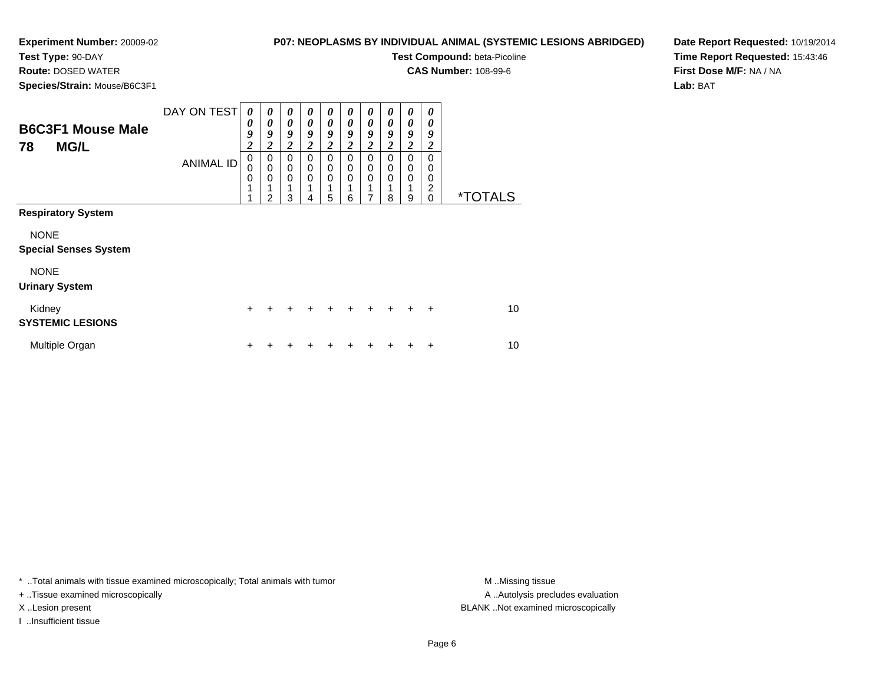**Test Type:** 90-DAY**Route:** DOSED WATER

# **P07: NEOPLASMS BY INDIVIDUAL ANIMAL (SYSTEMIC LESIONS ABRIDGED)**

**Test Compound:** beta-Picoline

**CAS Number:** 108-99-6

**Species/Strain:** Mouse/B6C3F1

**Date Report Requested:** 10/19/2014**Time Report Requested:** 15:43:46**First Dose M/F:** NA / NA**Lab:** BAT

| <b>B6C3F1 Mouse Male</b><br><b>MG/L</b><br>78                            | DAY ON TEST<br><b>ANIMAL ID</b> | 0<br>0<br>9<br>$\overline{\mathbf{2}}$<br>$\mathbf 0$<br>0<br>$\mathbf 0$<br>1<br>4 | $\boldsymbol{\theta}$<br>$\boldsymbol{\theta}$<br>9<br>$\boldsymbol{2}$<br>0<br>$\mathbf 0$<br>0<br>$\overline{2}$ | $\boldsymbol{\theta}$<br>$\boldsymbol{\theta}$<br>9<br>$\overline{c}$<br>$\mathbf 0$<br>$\mathbf 0$<br>$\mathbf 0$<br>1<br>3 | 0<br>$\boldsymbol{\theta}$<br>9<br>$\boldsymbol{2}$<br>0<br>0<br>$\mathbf 0$<br>4 | 0<br>$\boldsymbol{\theta}$<br>9<br>$\overline{2}$<br>0<br>0<br>$\mathbf 0$<br>4<br>5 | 0<br>0<br>9<br>$\overline{\mathbf{c}}$<br>0<br>0<br>0<br>6 | 0<br>0<br>9<br>$\boldsymbol{2}$<br>0<br>0<br>$\mathbf 0$<br>7 | 0<br>$\boldsymbol{\theta}$<br>9<br>2<br>$\Omega$<br>0<br>$\mathbf 0$<br>8 | 0<br>0<br>9<br>$\overline{\mathbf{c}}$<br>0<br>0<br>$\mathbf 0$<br>1<br>9 | 0<br>0<br>9<br>$\boldsymbol{2}$<br>0<br>$\mathbf 0$<br>0<br>$\overline{c}$<br>$\mathbf 0$ | <i><b>*TOTALS</b></i> |
|--------------------------------------------------------------------------|---------------------------------|-------------------------------------------------------------------------------------|--------------------------------------------------------------------------------------------------------------------|------------------------------------------------------------------------------------------------------------------------------|-----------------------------------------------------------------------------------|--------------------------------------------------------------------------------------|------------------------------------------------------------|---------------------------------------------------------------|---------------------------------------------------------------------------|---------------------------------------------------------------------------|-------------------------------------------------------------------------------------------|-----------------------|
| <b>Respiratory System</b><br><b>NONE</b><br><b>Special Senses System</b> |                                 |                                                                                     |                                                                                                                    |                                                                                                                              |                                                                                   |                                                                                      |                                                            |                                                               |                                                                           |                                                                           |                                                                                           |                       |
| <b>NONE</b><br><b>Urinary System</b>                                     |                                 |                                                                                     |                                                                                                                    |                                                                                                                              |                                                                                   |                                                                                      |                                                            |                                                               |                                                                           |                                                                           |                                                                                           |                       |
| Kidney<br><b>SYSTEMIC LESIONS</b>                                        |                                 | $\ddot{}$                                                                           |                                                                                                                    |                                                                                                                              | ÷                                                                                 | ÷.                                                                                   | ÷                                                          | $\ddot{}$                                                     | $+$                                                                       | $+$                                                                       | $\ddot{}$                                                                                 | 10                    |
| Multiple Organ                                                           |                                 | +                                                                                   |                                                                                                                    |                                                                                                                              |                                                                                   |                                                                                      |                                                            |                                                               |                                                                           |                                                                           | ÷                                                                                         | 10                    |

\* ..Total animals with tissue examined microscopically; Total animals with tumor **M** . Missing tissue M ..Missing tissue

+ ..Tissue examined microscopically

I ..Insufficient tissue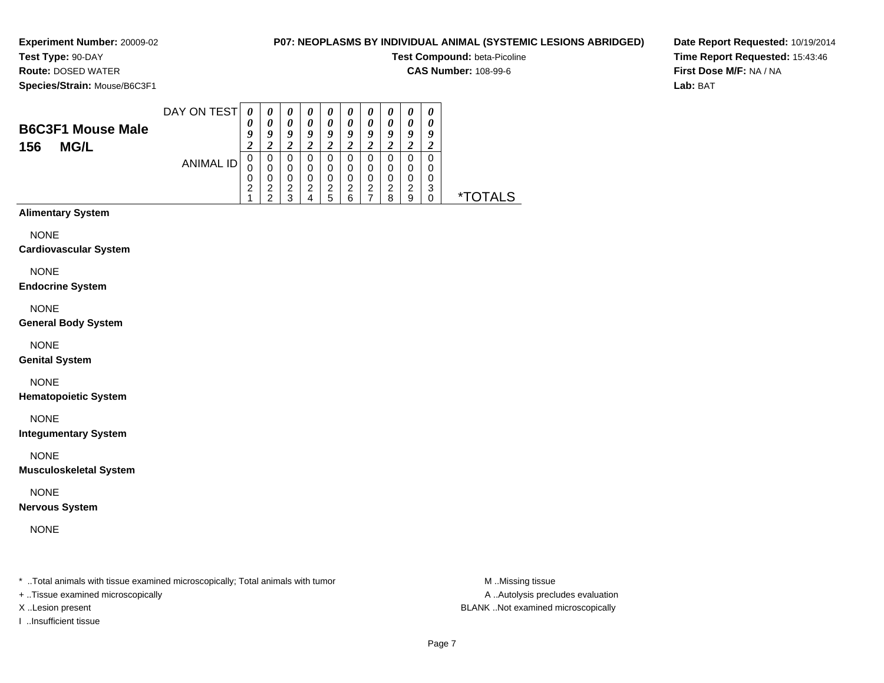**Experiment Number:** 20009-02**Test Type:** 90-DAY

# **P07: NEOPLASMS BY INDIVIDUAL ANIMAL (SYSTEMIC LESIONS ABRIDGED)**

**Test Compound:** beta-Picoline

**CAS Number:** 108-99-6

**Species/Strain:** Mouse/B6C3F1

**Route:** DOSED WATER

**Date Report Requested:** 10/19/2014**Time Report Requested:** 15:43:46**First Dose M/F:** NA / NA**Lab:** BAT

| <b>B6C3F1 Mouse Male</b><br><b>MG/L</b><br>156 | DAY ON TEST | 0<br>$\boldsymbol{\theta}$ | $\boldsymbol{\theta}$<br>0<br>o | $\boldsymbol{\theta}$<br>0<br>Q<br>∠ | $\boldsymbol{\theta}$<br>0<br>a | $\boldsymbol{\theta}$<br>0<br>O<br>◠<br>$\epsilon$ | U<br>o                  | U<br>0<br>Q<br>◢      | u<br>∠      | 0<br>o<br>∠           |        |            |
|------------------------------------------------|-------------|----------------------------|---------------------------------|--------------------------------------|---------------------------------|----------------------------------------------------|-------------------------|-----------------------|-------------|-----------------------|--------|------------|
|                                                | ANIMAL ID   | 0<br>◠<br>ے                | 0<br>0<br>ົ<br>◠                | 0<br>0<br>0<br>っ<br>◠                | 0<br>0<br>⌒                     | 0<br>0<br>0<br>2<br>5                              | 0<br>$\Omega$<br>◠<br>6 | 0<br>0<br>0<br>ົ<br>∠ | O<br>◠<br>я | 0<br>0<br>0<br>っ<br>9 | ົ<br>ື | AI S<br>** |

# **Alimentary System**

NONE

### **Cardiovascular System**

NONE

### **Endocrine System**

NONE

### **General Body System**

NONE

### **Genital System**

NONE

### **Hematopoietic System**

NONE

### **Integumentary System**

NONE

### **Musculoskeletal System**

NONE

### **Nervous System**

NONE

\* ..Total animals with tissue examined microscopically; Total animals with tumor **M** ..Missing tissue M ..Missing tissue

+ ..Tissue examined microscopically

I ..Insufficient tissue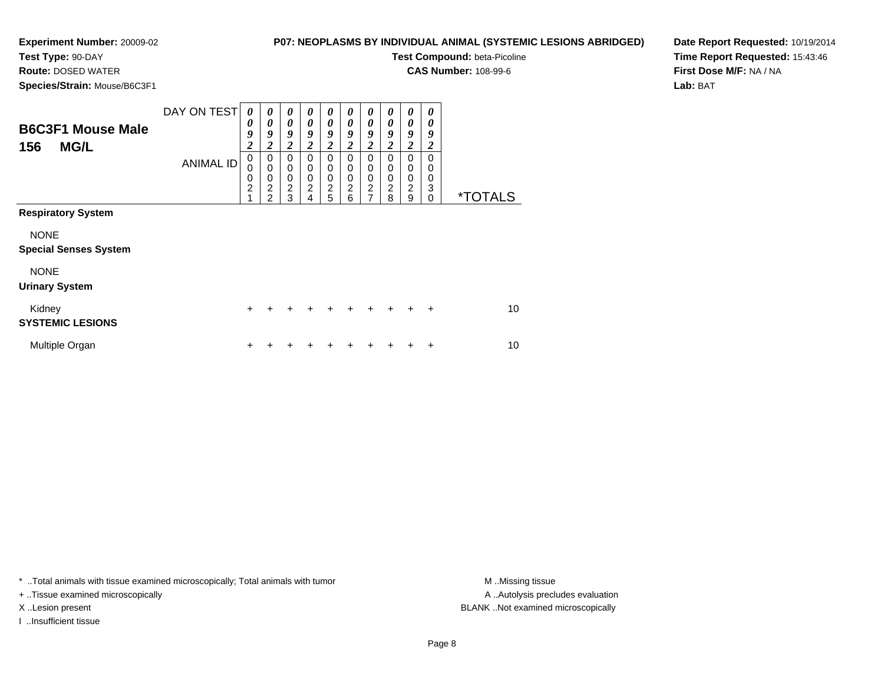**Test Type:** 90-DAY**Route:** DOSED WATER

## **P07: NEOPLASMS BY INDIVIDUAL ANIMAL (SYSTEMIC LESIONS ABRIDGED)**

**Test Compound:** beta-Picoline

**CAS Number:** 108-99-6

**Species/Strain:** Mouse/B6C3F1

**Date Report Requested:** 10/19/2014**Time Report Requested:** 15:43:46**First Dose M/F:** NA / NA**Lab:** BAT

| <b>B6C3F1 Mouse Male</b><br><b>MG/L</b><br>156                                                                   | DAY ON TEST<br><b>ANIMAL ID</b> | $\boldsymbol{\theta}$<br>0<br>9<br>$\overline{\mathbf{c}}$<br>$\mathbf 0$<br>$\mathbf 0$<br>$\mathbf 0$<br>$\overline{2}$<br>$\overline{1}$ | $\boldsymbol{\theta}$<br>0<br>9<br>$\boldsymbol{2}$<br>$\mathbf 0$<br>$\mathbf 0$<br>$\mathbf 0$<br>$\overline{c}$<br>$\overline{2}$ | 0<br>0<br>9<br>$\overline{\mathbf{c}}$<br>$\mathbf 0$<br>0<br>$\pmb{0}$<br>$\overline{c}$<br>3 | 0<br>0<br>9<br>2<br>0<br>0<br>0<br>$\overline{2}$<br>4 | 0<br>0<br>9<br>$\boldsymbol{2}$<br>0<br>0<br>0<br>$\overline{c}$<br>5 | 0<br>0<br>9<br>2<br>0<br>$\mathbf 0$<br>0<br>$\overline{c}$<br>6 | 0<br>0<br>9<br>2<br>$\mathbf 0$<br>$\mathbf 0$<br>$\mathbf 0$<br>$\overline{c}$<br>7 | 0<br>0<br>9<br>$\boldsymbol{2}$<br>$\Omega$<br>0<br>0<br>$\overline{2}$<br>8 | 0<br>0<br>9<br>$\overline{c}$<br>$\mathbf 0$<br>0<br>$\mathbf 0$<br>$\overline{2}$<br>9 | 0<br>0<br>9<br>2<br>$\Omega$<br>0<br>0<br>3<br>0 | <i><b>*TOTALS</b></i> |
|------------------------------------------------------------------------------------------------------------------|---------------------------------|---------------------------------------------------------------------------------------------------------------------------------------------|--------------------------------------------------------------------------------------------------------------------------------------|------------------------------------------------------------------------------------------------|--------------------------------------------------------|-----------------------------------------------------------------------|------------------------------------------------------------------|--------------------------------------------------------------------------------------|------------------------------------------------------------------------------|-----------------------------------------------------------------------------------------|--------------------------------------------------|-----------------------|
| <b>Respiratory System</b><br><b>NONE</b><br><b>Special Senses System</b><br><b>NONE</b><br><b>Urinary System</b> |                                 |                                                                                                                                             |                                                                                                                                      |                                                                                                |                                                        |                                                                       |                                                                  |                                                                                      |                                                                              |                                                                                         |                                                  |                       |
| Kidney<br><b>SYSTEMIC LESIONS</b>                                                                                |                                 | $\ddot{}$                                                                                                                                   |                                                                                                                                      |                                                                                                |                                                        |                                                                       | $\ddot{}$                                                        | $\div$                                                                               | $+$                                                                          | $\ddot{}$                                                                               | $\ddot{}$                                        | 10                    |
| Multiple Organ                                                                                                   |                                 | +                                                                                                                                           |                                                                                                                                      |                                                                                                |                                                        |                                                                       |                                                                  |                                                                                      |                                                                              |                                                                                         | ÷                                                | 10                    |

\* ..Total animals with tissue examined microscopically; Total animals with tumor **M** . Missing tissue M ..Missing tissue

+ ..Tissue examined microscopically

I ..Insufficient tissue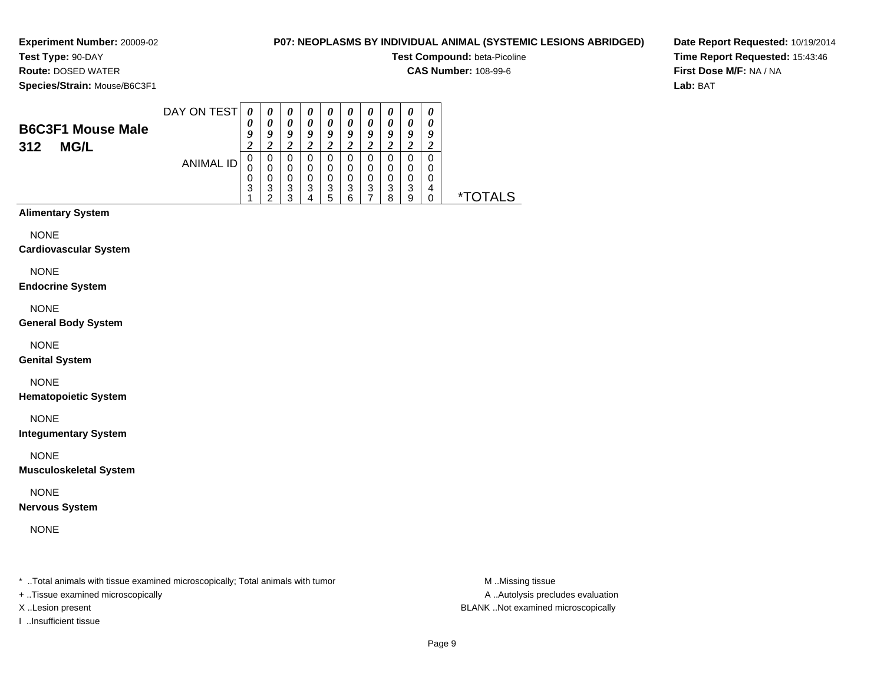**Test Type:** 90-DAY**Route:** DOSED WATER

# **P07: NEOPLASMS BY INDIVIDUAL ANIMAL (SYSTEMIC LESIONS ABRIDGED)**

**Test Compound:** beta-Picoline

**CAS Number:** 108-99-6

**Species/Strain:** Mouse/B6C3F1

**Date Report Requested:** 10/19/2014**Time Report Requested:** 15:43:46**First Dose M/F:** NA / NA**Lab:** BAT

| <b>B6C3F1 Mouse Male</b><br>312<br><b>MG/L</b> | DAY ON TEST | 0<br>$\boldsymbol{\theta}$ | $\boldsymbol{\theta}$<br>0<br>o | $\boldsymbol{\theta}$<br>0<br>Q<br>∠ | $\boldsymbol{\theta}$<br>0<br>a | $\boldsymbol{\theta}$<br>0<br>Q<br>σ<br>$\epsilon$ | U<br>o                  | U<br>0<br>Q<br>◢ | U<br>u<br>∠      | $\boldsymbol{\theta}$<br>o<br>∠ |   |             |
|------------------------------------------------|-------------|----------------------------|---------------------------------|--------------------------------------|---------------------------------|----------------------------------------------------|-------------------------|------------------|------------------|---------------------------------|---|-------------|
|                                                | ANIMAL ID   | 0<br>3                     | 0<br>0<br>3<br>◠                | 0<br>0<br>0<br>3<br>◠                | 0<br>0<br>3                     | 0<br>0<br>0<br>3<br>5                              | 0<br>$\Omega$<br>3<br>6 | 0<br>0<br>0<br>3 | O<br>O<br>3<br>Ω | 0<br>0<br>0<br>3<br>9           | 4 | `AI S<br>** |

# **Alimentary System**

NONE

### **Cardiovascular System**

NONE

### **Endocrine System**

NONE

### **General Body System**

NONE

### **Genital System**

NONE

### **Hematopoietic System**

NONE

### **Integumentary System**

NONE

### **Musculoskeletal System**

NONE

### **Nervous System**

NONE

\* ..Total animals with tissue examined microscopically; Total animals with tumor **M** ..Missing tissue M ..Missing tissue

+ ..Tissue examined microscopically

I ..Insufficient tissue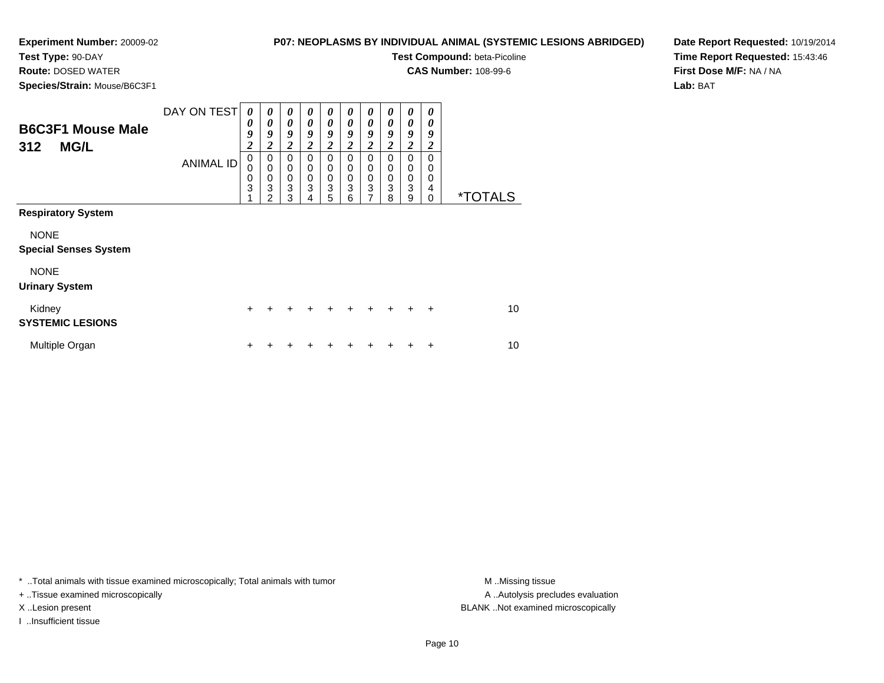**Test Type:** 90-DAY**Route:** DOSED WATER

## **P07: NEOPLASMS BY INDIVIDUAL ANIMAL (SYSTEMIC LESIONS ABRIDGED)**

**Test Compound:** beta-Picoline

**CAS Number:** 108-99-6

**Species/Strain:** Mouse/B6C3F1

**Date Report Requested:** 10/19/2014**Time Report Requested:** 15:43:46**First Dose M/F:** NA / NA**Lab:** BAT

| <b>B6C3F1 Mouse Male</b><br><b>MG/L</b><br>312                                          | DAY ON TEST<br><b>ANIMAL ID</b> | $\boldsymbol{\theta}$<br>0<br>9<br>$\overline{c}$<br>$\pmb{0}$<br>0<br>$\mathbf 0$<br>3 | 0<br>$\boldsymbol{\theta}$<br>9<br>$\boldsymbol{2}$<br>$\mathbf 0$<br>$\pmb{0}$<br>$\mathbf 0$<br>3 | $\boldsymbol{\theta}$<br>$\boldsymbol{\theta}$<br>9<br>$\boldsymbol{2}$<br>$\mathbf 0$<br>$\mathbf 0$<br>$\pmb{0}$<br>$\ensuremath{\mathsf{3}}$ | 0<br>0<br>9<br>2<br>$\Omega$<br>0<br>0<br>3 | 0<br>0<br>9<br>$\boldsymbol{2}$<br>$\mathbf 0$<br>0<br>$\mathbf 0$<br>3 | 0<br>0<br>9<br>2<br>$\Omega$<br>0<br>$\mathbf 0$<br>3 | 0<br>0<br>9<br>$\overline{\mathbf{2}}$<br>$\mathbf 0$<br>0<br>$\pmb{0}$<br>$\ensuremath{\mathsf{3}}$ | 0<br>0<br>9<br>2<br>$\Omega$<br>$\Omega$<br>$\mathbf 0$<br>3 | 0<br>0<br>9<br>$\overline{\mathbf{c}}$<br>$\Omega$<br>$\mathbf 0$<br>$\mathbf 0$<br>3 | 0<br>0<br>9<br>$\boldsymbol{2}$<br>$\Omega$<br>0<br>0<br>4 |                       |
|-----------------------------------------------------------------------------------------|---------------------------------|-----------------------------------------------------------------------------------------|-----------------------------------------------------------------------------------------------------|-------------------------------------------------------------------------------------------------------------------------------------------------|---------------------------------------------|-------------------------------------------------------------------------|-------------------------------------------------------|------------------------------------------------------------------------------------------------------|--------------------------------------------------------------|---------------------------------------------------------------------------------------|------------------------------------------------------------|-----------------------|
| <b>Respiratory System</b><br><b>NONE</b><br><b>Special Senses System</b><br><b>NONE</b> |                                 |                                                                                         | $\overline{2}$                                                                                      | 3                                                                                                                                               | 4                                           | 5                                                                       | 6                                                     | $\overline{7}$                                                                                       | 8                                                            | 9                                                                                     | 0                                                          | <i><b>*TOTALS</b></i> |
| <b>Urinary System</b><br>Kidney<br><b>SYSTEMIC LESIONS</b>                              |                                 | $\ddot{}$                                                                               |                                                                                                     |                                                                                                                                                 |                                             | $\div$                                                                  | $\ddot{}$                                             | $+$                                                                                                  | $+$                                                          | $+$                                                                                   | $\ddot{}$                                                  | 10                    |
| Multiple Organ                                                                          |                                 | +                                                                                       |                                                                                                     |                                                                                                                                                 |                                             |                                                                         |                                                       |                                                                                                      |                                                              |                                                                                       | ٠                                                          | 10                    |

\* ..Total animals with tissue examined microscopically; Total animals with tumor **M** . Missing tissue M ..Missing tissue

+ ..Tissue examined microscopically

I ..Insufficient tissue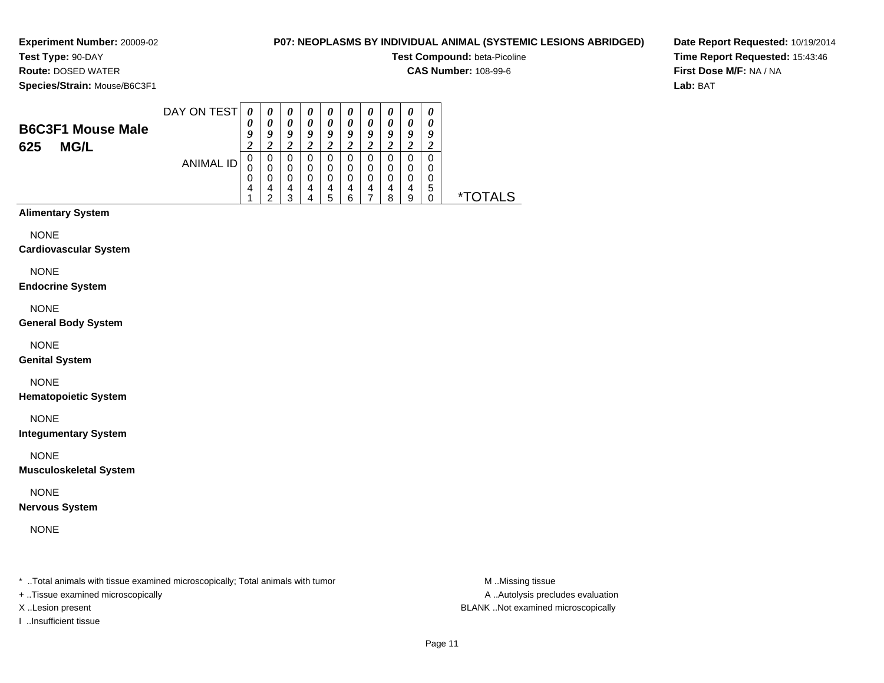**Experiment Number:** 20009-02**Test Type:** 90-DAY

# **P07: NEOPLASMS BY INDIVIDUAL ANIMAL (SYSTEMIC LESIONS ABRIDGED)**

**Test Compound:** beta-Picoline

**CAS Number:** 108-99-6

**Species/Strain:** Mouse/B6C3F1

**Route:** DOSED WATER

**Date Report Requested:** 10/19/2014**Time Report Requested:** 15:43:46**First Dose M/F:** NA / NA**Lab:** BAT

| <b>B6C3F1 Mouse Male</b><br><b>MG/L</b><br>625 | DAY ON TEST | $\boldsymbol{\mathit{U}}$ | $\boldsymbol{\theta}$<br>$\boldsymbol{\theta}$<br>о | $\boldsymbol{\theta}$<br>$\theta$<br>9 | $\boldsymbol{\theta}$<br>O<br>o | $\boldsymbol{\theta}$<br>0<br>Q | $\boldsymbol{\theta}$<br>o | $\boldsymbol{\theta}$<br>0<br>0 | U<br>$\boldsymbol{\theta}$<br>Q | U<br>0<br>u<br>∠      | $\boldsymbol{\theta}$<br>Q |            |
|------------------------------------------------|-------------|---------------------------|-----------------------------------------------------|----------------------------------------|---------------------------------|---------------------------------|----------------------------|---------------------------------|---------------------------------|-----------------------|----------------------------|------------|
|                                                | ANIMAL ID   | U                         | 0<br>Δ<br>c                                         | 0<br>0<br>$\Omega$<br>4<br>◠           | 0<br>0<br>4                     | 0<br>0<br>0<br>4<br>5           | 0<br>0<br>4<br>⌒           | O<br>0<br>0<br>4                | 0<br>0<br>я                     | 0<br>0<br>0<br>4<br>9 | 0<br>0<br>0<br>5           | AI S<br>×. |

# **Alimentary System**

NONE

### **Cardiovascular System**

NONE

### **Endocrine System**

NONE

### **General Body System**

NONE

### **Genital System**

# NONE

**Hematopoietic System**

NONE

### **Integumentary System**

NONE

### **Musculoskeletal System**

NONE

### **Nervous System**

NONE

\* ..Total animals with tissue examined microscopically; Total animals with tumor **M** ..Missing tissue M ..Missing tissue

- + ..Tissue examined microscopically
- 
- I ..Insufficient tissue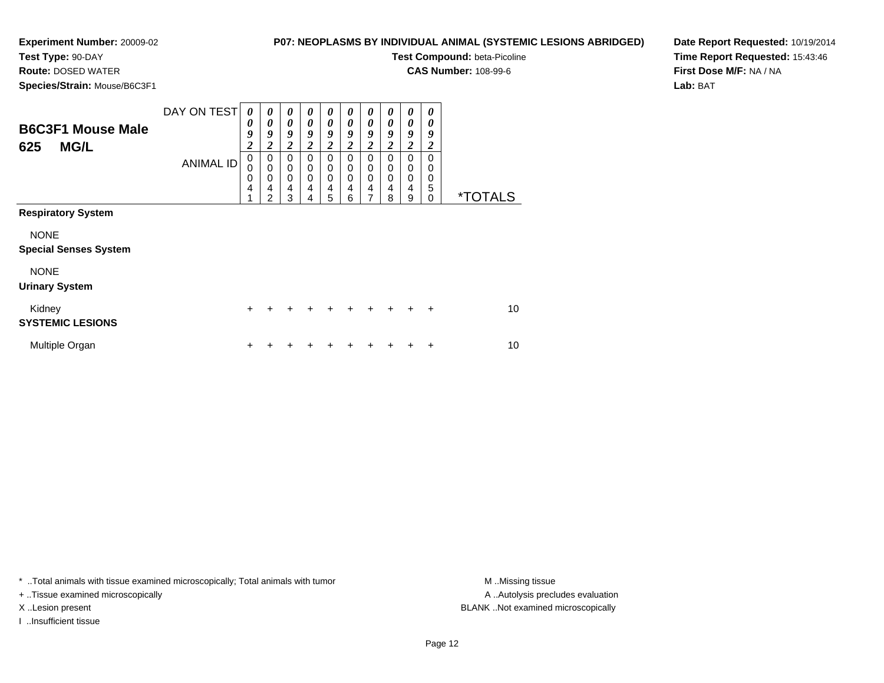**Test Type:** 90-DAY**Route:** DOSED WATER

# **P07: NEOPLASMS BY INDIVIDUAL ANIMAL (SYSTEMIC LESIONS ABRIDGED)**

**Test Compound:** beta-Picoline

**CAS Number:** 108-99-6

**Species/Strain:** Mouse/B6C3F1

**Date Report Requested:** 10/19/2014**Time Report Requested:** 15:43:46**First Dose M/F:** NA / NA**Lab:** BAT

| <b>B6C3F1 Mouse Male</b><br><b>MG/L</b><br>625                            | DAY ON TEST<br><b>ANIMAL ID</b> | $\boldsymbol{\theta}$<br>0<br>9<br>$\boldsymbol{2}$<br>$\mathbf 0$<br>$\mathbf 0$<br>$\mathbf 0$<br>4<br>1 | $\boldsymbol{\theta}$<br>$\boldsymbol{\theta}$<br>9<br>$\boldsymbol{2}$<br>0<br>$\mathbf 0$<br>$\pmb{0}$<br>$\overline{4}$<br>$\overline{2}$ | $\boldsymbol{\theta}$<br>0<br>9<br>$\overline{2}$<br>$\mathbf 0$<br>$\mathbf 0$<br>$\mathbf 0$<br>$\overline{\mathbf{4}}$<br>3 | 0<br>0<br>9<br>$\overline{2}$<br>$\Omega$<br>0<br>0<br>4<br>4 | $\theta$<br>0<br>9<br>$\boldsymbol{2}$<br>0<br>0<br>$\mathbf 0$<br>$\overline{\mathbf{4}}$<br>5 | 0<br>$\theta$<br>9<br>$\boldsymbol{2}$<br>$\Omega$<br>0<br>0<br>4<br>6 | 0<br>0<br>9<br>$\overline{c}$<br>0<br>0<br>$\mathbf 0$<br>$\overline{\mathbf{4}}$<br>$\overline{7}$ | 0<br>0<br>9<br>$\overline{\mathbf{c}}$<br>$\Omega$<br>0<br>$\Omega$<br>4<br>8 | 0<br>0<br>9<br>$\boldsymbol{2}$<br>$\Omega$<br>0<br>$\mathbf 0$<br>$\overline{4}$<br>9 | 0<br>0<br>9<br>$\overline{c}$<br>$\Omega$<br>0<br>$\mathbf 0$<br>5<br>0 | <i><b>*TOTALS</b></i> |
|---------------------------------------------------------------------------|---------------------------------|------------------------------------------------------------------------------------------------------------|----------------------------------------------------------------------------------------------------------------------------------------------|--------------------------------------------------------------------------------------------------------------------------------|---------------------------------------------------------------|-------------------------------------------------------------------------------------------------|------------------------------------------------------------------------|-----------------------------------------------------------------------------------------------------|-------------------------------------------------------------------------------|----------------------------------------------------------------------------------------|-------------------------------------------------------------------------|-----------------------|
| <b>Respiratory System</b><br><b>NONE</b><br><b>Special Senses System</b>  |                                 |                                                                                                            |                                                                                                                                              |                                                                                                                                |                                                               |                                                                                                 |                                                                        |                                                                                                     |                                                                               |                                                                                        |                                                                         |                       |
| <b>NONE</b><br><b>Urinary System</b><br>Kidney<br><b>SYSTEMIC LESIONS</b> |                                 | $\ddot{}$                                                                                                  |                                                                                                                                              |                                                                                                                                |                                                               |                                                                                                 |                                                                        | $\ddot{}$                                                                                           | $+$                                                                           | $\ddot{}$                                                                              | $\ddot{}$                                                               | 10                    |
| Multiple Organ                                                            |                                 | +                                                                                                          |                                                                                                                                              |                                                                                                                                |                                                               |                                                                                                 |                                                                        |                                                                                                     |                                                                               |                                                                                        | ÷                                                                       | 10                    |

\* ..Total animals with tissue examined microscopically; Total animals with tumor **M** . Missing tissue M ..Missing tissue

+ ..Tissue examined microscopically

I ..Insufficient tissue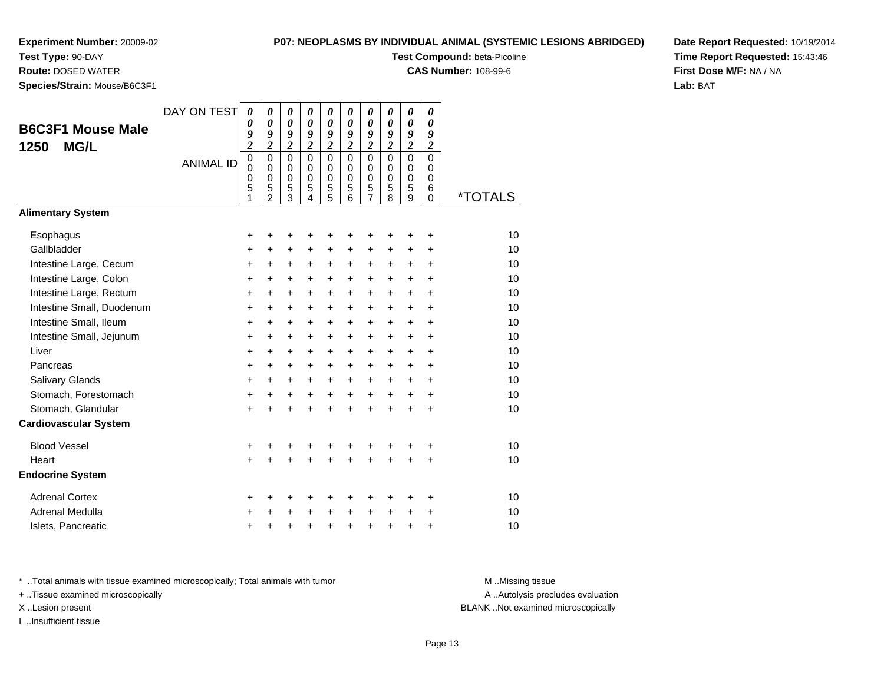**Test Type:** 90-DAY**Route:** DOSED WATER

# **P07: NEOPLASMS BY INDIVIDUAL ANIMAL (SYSTEMIC LESIONS ABRIDGED)**

**Test Compound:** beta-Picoline

**CAS Number:** 108-99-6

**Date Report Requested:** 10/19/2014**Time Report Requested:** 15:43:46**First Dose M/F:** NA / NA**Lab:** BAT

**Species/Strain:** Mouse/B6C3F1

| opcore <i>si</i> on ann. modsc/boosi in         |                  |                                           |                                                        |                                                                 |                                                            |                                                     |                                                   |                                                                         |                                        |                                                            |                                        |         |
|-------------------------------------------------|------------------|-------------------------------------------|--------------------------------------------------------|-----------------------------------------------------------------|------------------------------------------------------------|-----------------------------------------------------|---------------------------------------------------|-------------------------------------------------------------------------|----------------------------------------|------------------------------------------------------------|----------------------------------------|---------|
| <b>B6C3F1 Mouse Male</b><br><b>MG/L</b><br>1250 | DAY ON TEST      | 0<br>0<br>9<br>$\overline{\mathbf{c}}$    | 0<br>$\boldsymbol{\theta}$<br>9<br>$\overline{2}$      | 0<br>$\boldsymbol{\theta}$<br>9<br>$\boldsymbol{2}$             | 0<br>$\boldsymbol{\theta}$<br>9<br>$\overline{\mathbf{c}}$ | 0<br>$\boldsymbol{\theta}$<br>9<br>$\overline{c}$   | 0<br>$\boldsymbol{\theta}$<br>9<br>$\overline{2}$ | $\boldsymbol{\theta}$<br>$\boldsymbol{\theta}$<br>9<br>$\boldsymbol{2}$ | 0<br>0<br>9<br>$\overline{\mathbf{c}}$ | 0<br>$\boldsymbol{\theta}$<br>9<br>$\overline{\mathbf{c}}$ | 0<br>0<br>9<br>$\overline{2}$          |         |
|                                                 | <b>ANIMAL ID</b> | $\mathbf 0$<br>$\mathbf 0$<br>0<br>5<br>1 | $\mathbf 0$<br>0<br>$\mathbf 0$<br>5<br>$\overline{2}$ | $\mathbf 0$<br>0<br>$\mathbf 0$<br>$\sqrt{5}$<br>$\overline{3}$ | $\Omega$<br>$\Omega$<br>$\pmb{0}$<br>5<br>$\overline{4}$   | $\Omega$<br>0<br>0<br>$\mathbf 5$<br>$\overline{5}$ | $\Omega$<br>$\Omega$<br>$\mathbf 0$<br>5<br>6     | $\Omega$<br>0<br>0<br>5<br>$\overline{7}$                               | $\Omega$<br>$\Omega$<br>0<br>5<br>8    | 0<br>0<br>$\mathbf 0$<br>5<br>9                            | $\mathbf 0$<br>$\Omega$<br>0<br>6<br>0 | *TOTALS |
| <b>Alimentary System</b>                        |                  |                                           |                                                        |                                                                 |                                                            |                                                     |                                                   |                                                                         |                                        |                                                            |                                        |         |
| Esophagus                                       |                  | +                                         | +                                                      | +                                                               | +                                                          | +                                                   | +                                                 | +                                                                       | +                                      | +                                                          | +                                      | 10      |
| Gallbladder                                     |                  | +                                         | +                                                      | $\ddot{}$                                                       | +                                                          | +                                                   | $\ddot{}$                                         | $\ddot{}$                                                               | $\ddot{}$                              | +                                                          | +                                      | 10      |
| Intestine Large, Cecum                          |                  | +                                         | +                                                      | $\ddot{}$                                                       | $\ddot{}$                                                  | $\ddot{}$                                           | $\ddot{}$                                         | $\ddot{}$                                                               | $\ddot{}$                              | $\ddot{}$                                                  | +                                      | 10      |
| Intestine Large, Colon                          |                  | +                                         | $\ddot{}$                                              | +                                                               | +                                                          | +                                                   | $\ddot{}$                                         | $\ddot{}$                                                               | $\ddot{}$                              | $\ddot{}$                                                  | $\ddot{}$                              | 10      |
| Intestine Large, Rectum                         |                  | $\ddot{}$                                 | $\ddot{}$                                              | $\ddot{}$                                                       | $+$                                                        | $\ddot{}$                                           | $\ddot{}$                                         | $\ddot{}$                                                               | $\ddot{}$                              | +                                                          | $\ddot{}$                              | 10      |
| Intestine Small, Duodenum                       |                  | $\ddot{}$                                 | $\ddot{}$                                              | $\ddot{}$                                                       | $\ddot{}$                                                  | $\ddot{}$                                           | $\ddot{}$                                         | $\ddot{}$                                                               | $+$                                    | $\ddot{}$                                                  | $\ddot{}$                              | 10      |
| Intestine Small, Ileum                          |                  | +                                         | $\ddot{}$                                              | $\ddot{}$                                                       | $\ddot{}$                                                  | +                                                   | +                                                 | +                                                                       | $\ddot{}$                              | +                                                          | +                                      | 10      |
| Intestine Small, Jejunum                        |                  | +                                         | +                                                      | +                                                               | +                                                          | +                                                   | +                                                 | +                                                                       | $\ddot{}$                              | +                                                          | +                                      | 10      |
| Liver                                           |                  | +                                         | +                                                      | +                                                               | $\ddot{}$                                                  | $\ddot{}$                                           | $\ddot{}$                                         | $\ddot{}$                                                               | $\ddot{}$                              | +                                                          | $\ddot{}$                              | 10      |
| Pancreas                                        |                  | $\ddot{}$                                 | $\ddot{}$                                              | $\ddot{}$                                                       | $\ddot{}$                                                  | $\ddot{}$                                           | $\ddot{}$                                         | $\ddot{}$                                                               | $\ddot{}$                              | $\ddot{}$                                                  | $\ddot{}$                              | 10      |
| Salivary Glands                                 |                  | $\ddot{}$                                 | $\ddot{}$                                              | $+$                                                             | $\ddot{}$                                                  | $+$                                                 | $\ddot{}$                                         | $\ddot{}$                                                               | $\ddot{}$                              | $\ddot{}$                                                  | $\ddot{}$                              | 10      |
| Stomach, Forestomach                            |                  | $\ddot{}$                                 | +                                                      | $\ddot{}$                                                       | $\ddot{}$                                                  | $\ddot{}$                                           | $\ddot{}$                                         | $\ddot{}$                                                               | $\ddot{}$                              | $\ddot{}$                                                  | $\ddot{}$                              | 10      |
| Stomach, Glandular                              |                  | $\ddot{}$                                 | ÷                                                      | $\ddot{}$                                                       | ÷                                                          | $\ddot{}$                                           | $\ddot{}$                                         | $\ddot{}$                                                               | $\ddot{}$                              | $\ddot{}$                                                  | $\ddot{}$                              | 10      |
| <b>Cardiovascular System</b>                    |                  |                                           |                                                        |                                                                 |                                                            |                                                     |                                                   |                                                                         |                                        |                                                            |                                        |         |
| <b>Blood Vessel</b>                             |                  | +                                         | +                                                      |                                                                 |                                                            | +                                                   | +                                                 |                                                                         |                                        |                                                            | +                                      | 10      |
| Heart                                           |                  | $\ddot{}$                                 | $\ddot{}$                                              | $\ddot{}$                                                       | $\ddot{}$                                                  | $\ddot{}$                                           | $\ddot{}$                                         | $\ddot{}$                                                               | $\ddot{}$                              | $\ddot{}$                                                  | $\ddot{}$                              | 10      |
| <b>Endocrine System</b>                         |                  |                                           |                                                        |                                                                 |                                                            |                                                     |                                                   |                                                                         |                                        |                                                            |                                        |         |
| <b>Adrenal Cortex</b>                           |                  | +                                         | +                                                      | +                                                               | +                                                          | +                                                   | ٠                                                 | ٠                                                                       | ٠                                      | ٠                                                          | +                                      | 10      |
| Adrenal Medulla                                 |                  | +                                         |                                                        |                                                                 | $\ddot{}$                                                  | $\ddot{}$                                           | $\ddot{}$                                         | $\ddot{}$                                                               | $\ddot{}$                              | $\ddot{}$                                                  | +                                      | 10      |
| Islets, Pancreatic                              |                  | +                                         | +                                                      | +                                                               | +                                                          | $\ddot{}$                                           | $\ddot{}$                                         | $\ddot{}$                                                               | $\ddot{}$                              | +                                                          | +                                      | 10      |

\* ..Total animals with tissue examined microscopically; Total animals with tumor **M** . Missing tissue M ..Missing tissue

+ ..Tissue examined microscopically

I ..Insufficient tissue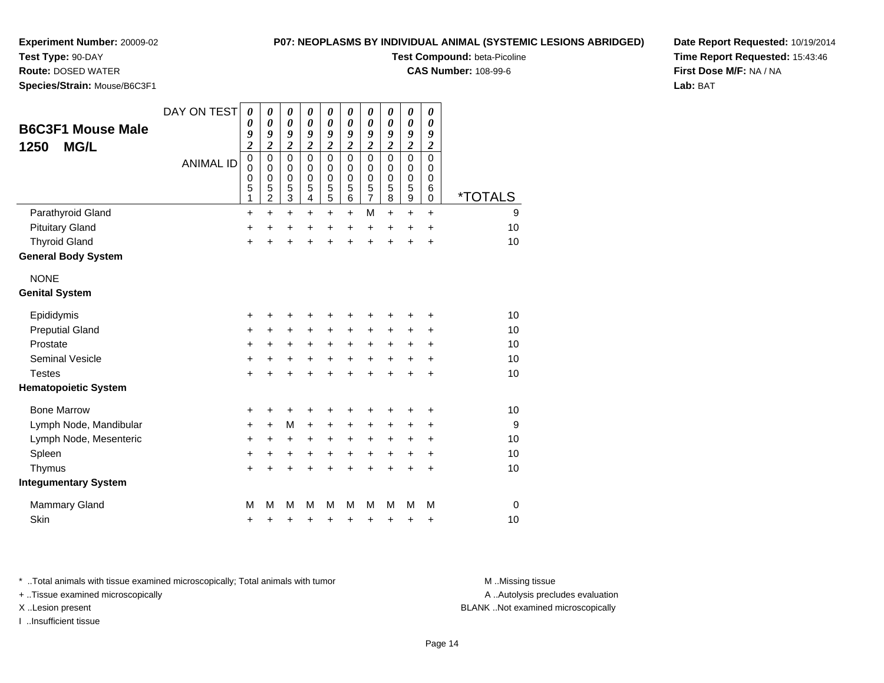**Test Type:** 90-DAY

**Route:** DOSED WATER

**Species/Strain:** Mouse/B6C3F1

### **P07: NEOPLASMS BY INDIVIDUAL ANIMAL (SYSTEMIC LESIONS ABRIDGED)**

**Test Compound:** beta-Picoline

**CAS Number:** 108-99-6

**Date Report Requested:** 10/19/2014**Time Report Requested:** 15:43:46**First Dose M/F:** NA / NA**Lab:** BAT

| <b>B6C3F1 Mouse Male</b><br><b>MG/L</b><br>1250 | DAY ON TEST      | $\boldsymbol{\theta}$<br>0<br>9<br>$\overline{\mathbf{c}}$ | 0<br>0<br>9<br>$\overline{\mathbf{c}}$ | 0<br>$\boldsymbol{\theta}$<br>9<br>$\overline{\mathbf{c}}$ | 0<br>0<br>9<br>$\overline{\mathbf{c}}$ | 0<br>$\boldsymbol{\theta}$<br>9<br>$\boldsymbol{2}$    | 0<br>0<br>9<br>$\overline{\mathbf{c}}$ | 0<br>$\boldsymbol{\theta}$<br>9<br>$\overline{\mathbf{c}}$    | 0<br>0<br>9<br>$\overline{\mathbf{c}}$ | 0<br>0<br>9<br>$\overline{\mathbf{c}}$ | 0<br>0<br>9<br>$\overline{\mathbf{c}}$ |                       |
|-------------------------------------------------|------------------|------------------------------------------------------------|----------------------------------------|------------------------------------------------------------|----------------------------------------|--------------------------------------------------------|----------------------------------------|---------------------------------------------------------------|----------------------------------------|----------------------------------------|----------------------------------------|-----------------------|
|                                                 | <b>ANIMAL ID</b> | $\mathbf 0$<br>$\mathbf 0$<br>$\boldsymbol{0}$<br>5<br>1   | $\mathbf 0$<br>0<br>0<br>5<br>2        | $\mathbf 0$<br>0<br>$\mathbf 0$<br>5<br>3                  | $\Omega$<br>0<br>0<br>5<br>4           | $\mathbf 0$<br>$\mathbf 0$<br>0<br>$\overline{5}$<br>5 | $\Omega$<br>0<br>$\mathbf 0$<br>5<br>6 | $\overline{0}$<br>$\mathbf 0$<br>$\mathbf 0$<br>$\frac{5}{7}$ | $\Omega$<br>0<br>0<br>5<br>8           | $\mathbf 0$<br>0<br>0<br>5<br>9        | $\Omega$<br>0<br>0<br>6<br>$\mathbf 0$ | <i><b>*TOTALS</b></i> |
| Parathyroid Gland                               |                  | $\ddot{}$                                                  | $\ddot{}$                              | $\ddot{}$                                                  | +                                      | $\ddot{}$                                              | $\ddot{}$                              | M                                                             | +                                      | +                                      | $\ddot{}$                              | 9                     |
| <b>Pituitary Gland</b>                          |                  | +                                                          | $\ddot{}$                              | +                                                          | +                                      | +                                                      | $\ddot{}$                              | +                                                             | +                                      | +                                      | +                                      | 10                    |
| <b>Thyroid Gland</b>                            |                  | +                                                          | +                                      | +                                                          | +                                      | $\ddot{}$                                              | +                                      | $\ddot{}$                                                     | +                                      | +                                      | +                                      | 10                    |
| <b>General Body System</b>                      |                  |                                                            |                                        |                                                            |                                        |                                                        |                                        |                                                               |                                        |                                        |                                        |                       |
| <b>NONE</b>                                     |                  |                                                            |                                        |                                                            |                                        |                                                        |                                        |                                                               |                                        |                                        |                                        |                       |
| <b>Genital System</b>                           |                  |                                                            |                                        |                                                            |                                        |                                                        |                                        |                                                               |                                        |                                        |                                        |                       |
| Epididymis                                      |                  | $\ddot{}$                                                  | +                                      | +                                                          | +                                      | +                                                      | +                                      | +                                                             | +                                      | +                                      | +                                      | 10                    |
| <b>Preputial Gland</b>                          |                  | +                                                          | +                                      | +                                                          | +                                      | +                                                      | +                                      | +                                                             | +                                      | +                                      | +                                      | 10                    |
| Prostate                                        |                  | $\ddot{}$                                                  | $\ddot{}$                              | $\ddot{}$                                                  | $\ddot{}$                              | $\ddot{}$                                              | $\ddot{}$                              | $\ddot{}$                                                     | $\ddot{}$                              | +                                      | +                                      | 10                    |
| <b>Seminal Vesicle</b>                          |                  | $\pmb{+}$                                                  | +                                      | $\ddot{}$                                                  | +                                      | $\ddot{}$                                              | $\ddot{}$                              | $\ddot{}$                                                     | +                                      | $\ddot{}$                              | $\ddot{}$                              | 10                    |
| <b>Testes</b>                                   |                  | $\ddot{}$                                                  | $\ddot{}$                              | $\ddot{}$                                                  |                                        | $\ddot{}$                                              | $\ddot{}$                              | $\ddot{}$                                                     | $\ddot{}$                              | $\ddot{}$                              | $\ddot{}$                              | 10                    |
| <b>Hematopoietic System</b>                     |                  |                                                            |                                        |                                                            |                                        |                                                        |                                        |                                                               |                                        |                                        |                                        |                       |
| <b>Bone Marrow</b>                              |                  | +                                                          | +                                      | +                                                          |                                        | +                                                      |                                        | +                                                             |                                        | +                                      | +                                      | 10                    |
| Lymph Node, Mandibular                          |                  | +                                                          | $\ddot{}$                              | M                                                          | +                                      | +                                                      | +                                      | +                                                             | +                                      | +                                      | +                                      | 9                     |
| Lymph Node, Mesenteric                          |                  | +                                                          | +                                      | +                                                          | +                                      | +                                                      | +                                      | +                                                             | +                                      | +                                      | +                                      | 10                    |
| Spleen                                          |                  | $\ddot{}$                                                  | +                                      | +                                                          | +                                      | +                                                      | +                                      | +                                                             | $\ddot{}$                              | +                                      | +                                      | 10                    |
| Thymus                                          |                  | $\ddot{}$                                                  |                                        |                                                            |                                        | +                                                      | +                                      | $\ddot{}$                                                     | +                                      | $\ddot{}$                              | $\ddot{}$                              | 10                    |
| <b>Integumentary System</b>                     |                  |                                                            |                                        |                                                            |                                        |                                                        |                                        |                                                               |                                        |                                        |                                        |                       |
| Mammary Gland                                   |                  | M                                                          | М                                      | M                                                          | м                                      | M                                                      | M                                      | M                                                             | M                                      | M                                      | M                                      | $\mathbf 0$           |
| Skin                                            |                  | +                                                          | +                                      | +                                                          | +                                      | +                                                      | +                                      | +                                                             | +                                      | +                                      | +                                      | 10                    |

\* ..Total animals with tissue examined microscopically; Total animals with tumor **M** . Missing tissue M ..Missing tissue

+ ..Tissue examined microscopically

I ..Insufficient tissue

A ..Autolysis precludes evaluation

X ..Lesion present BLANK ..Not examined microscopically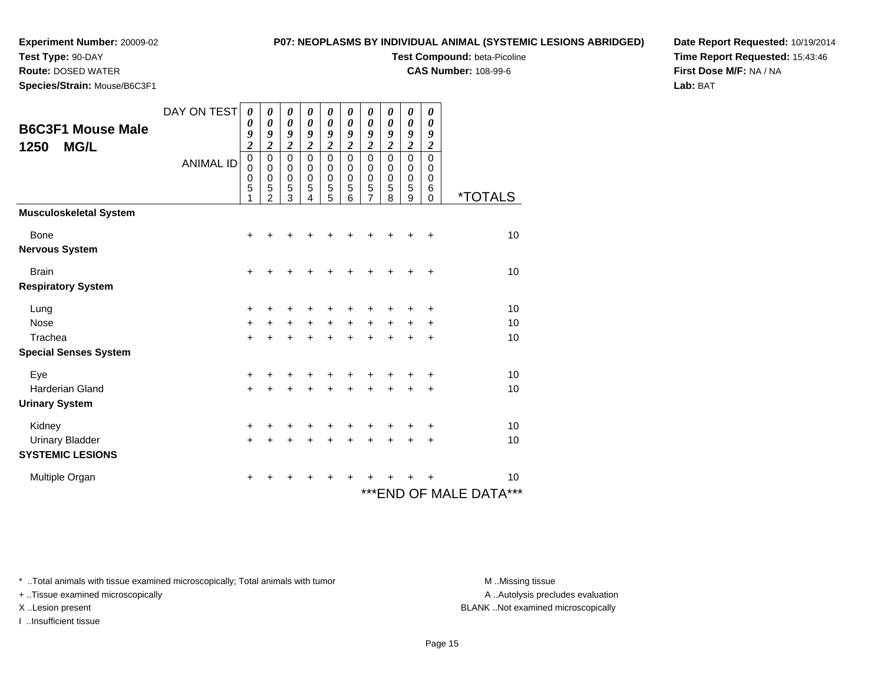**Test Type:** 90-DAY

# **P07: NEOPLASMS BY INDIVIDUAL ANIMAL (SYSTEMIC LESIONS ABRIDGED)**

**Test Compound:** beta-Picoline

**CAS Number:** 108-99-6

**Date Report Requested:** 10/19/2014**Time Report Requested:** 15:43:46**First Dose M/F:** NA / NA**Lab:** BAT

 **Route:** DOSED WATER**Species/Strain:** Mouse/B6C3F1

|                               | DAY ON TEST      | $\boldsymbol{\theta}$                        | 0                                 | 0                                                     | 0                                                     | 0                          | 0                                           | 0                                    | 0                                            | 0                                                     | 0                                            |                            |
|-------------------------------|------------------|----------------------------------------------|-----------------------------------|-------------------------------------------------------|-------------------------------------------------------|----------------------------|---------------------------------------------|--------------------------------------|----------------------------------------------|-------------------------------------------------------|----------------------------------------------|----------------------------|
| <b>B6C3F1 Mouse Male</b>      |                  | $\boldsymbol{\theta}$<br>9<br>$\overline{2}$ | 0<br>9<br>$\overline{2}$          | $\boldsymbol{\theta}$<br>9<br>$\overline{\mathbf{c}}$ | $\boldsymbol{\theta}$<br>9<br>$\overline{\mathbf{c}}$ | 0<br>9<br>$\overline{2}$   | 0<br>9<br>$\overline{2}$                    | 0<br>9<br>$\overline{c}$             | $\boldsymbol{\theta}$<br>9<br>$\overline{c}$ | $\boldsymbol{\theta}$<br>9<br>$\overline{\mathbf{c}}$ | $\boldsymbol{\theta}$<br>9<br>$\overline{2}$ |                            |
| <b>MG/L</b><br>1250           | <b>ANIMAL ID</b> | $\mathbf 0$<br>$\mathbf 0$<br>$\pmb{0}$<br>5 | $\mathbf 0$<br>$\Omega$<br>0<br>5 | $\mathbf 0$<br>$\Omega$<br>$\pmb{0}$<br>5             | $\mathbf 0$<br>0<br>$\mathbf 0$<br>5                  | 0<br>0<br>$\mathbf 0$<br>5 | $\mathbf 0$<br>$\Omega$<br>$\mathbf 0$<br>5 | $\mathbf 0$<br>0<br>$\mathbf 0$<br>5 | $\mathbf 0$<br>0<br>$\pmb{0}$<br>5           | 0<br>0<br>$\pmb{0}$<br>5                              | $\mathbf 0$<br>0<br>0<br>6                   |                            |
|                               |                  | 1                                            | $\mathfrak{p}$                    | 3                                                     | 4                                                     | 5                          | 6                                           | 7                                    | 8                                            | 9                                                     | $\mathbf 0$                                  | <i><b>*TOTALS</b></i>      |
| <b>Musculoskeletal System</b> |                  |                                              |                                   |                                                       |                                                       |                            |                                             |                                      |                                              |                                                       |                                              |                            |
| Bone                          |                  | $\ddot{}$                                    | +                                 | +                                                     |                                                       |                            | +                                           | +                                    | $\ddot{}$                                    | +                                                     | $\ddot{}$                                    | 10                         |
| <b>Nervous System</b>         |                  |                                              |                                   |                                                       |                                                       |                            |                                             |                                      |                                              |                                                       |                                              |                            |
| <b>Brain</b>                  |                  | $\ddot{}$                                    | ٠                                 | ٠                                                     |                                                       | ٠                          | $\ddot{}$                                   | +                                    | $\ddot{}$                                    | $\ddot{}$                                             | $\ddot{}$                                    | 10                         |
| <b>Respiratory System</b>     |                  |                                              |                                   |                                                       |                                                       |                            |                                             |                                      |                                              |                                                       |                                              |                            |
| Lung                          |                  | +                                            |                                   | ٠                                                     |                                                       | ٠                          | ٠                                           | +                                    | +                                            | +                                                     | +                                            | 10                         |
| Nose                          |                  | $\ddot{}$                                    | $+$                               | $+$                                                   | $+$                                                   | $+$                        | $+$                                         | $\ddot{}$                            | $+$                                          | $\ddot{}$                                             | +                                            | 10                         |
| Trachea                       |                  | $+$                                          | $\ddot{}$                         | $\ddot{}$                                             | $\ddot{}$                                             | $+$                        | $\ddot{}$                                   | $\ddot{}$                            | $\ddot{}$                                    | +                                                     | $\ddot{}$                                    | 10                         |
| <b>Special Senses System</b>  |                  |                                              |                                   |                                                       |                                                       |                            |                                             |                                      |                                              |                                                       |                                              |                            |
| Eye                           |                  | $\ddot{}$                                    |                                   | +                                                     |                                                       | $\div$                     | $\ddot{}$                                   | +                                    | +                                            | ٠                                                     | +                                            | 10                         |
| <b>Harderian Gland</b>        |                  | $\ddot{}$                                    | +                                 | $\ddot{}$                                             |                                                       | $\ddot{}$                  | $\ddot{}$                                   | $\ddot{}$                            | $+$                                          | $\ddot{}$                                             | $\ddot{}$                                    | 10                         |
| <b>Urinary System</b>         |                  |                                              |                                   |                                                       |                                                       |                            |                                             |                                      |                                              |                                                       |                                              |                            |
| Kidney                        |                  | $\ddot{}$                                    | +                                 | ٠                                                     | ٠                                                     | ٠                          | $\ddot{}$                                   | +                                    | +                                            | +                                                     | +                                            | 10                         |
| <b>Urinary Bladder</b>        |                  | $\ddot{}$                                    | $\ddot{}$                         | $\ddot{}$                                             | $\ddot{}$                                             | $\ddot{}$                  | $\ddot{}$                                   | $\ddot{}$                            | +                                            | $\ddot{}$                                             | $\ddot{}$                                    | 10                         |
| <b>SYSTEMIC LESIONS</b>       |                  |                                              |                                   |                                                       |                                                       |                            |                                             |                                      |                                              |                                                       |                                              |                            |
| Multiple Organ                |                  | +                                            |                                   | ٠                                                     |                                                       |                            | ÷                                           | +                                    |                                              |                                                       |                                              | 10                         |
|                               |                  |                                              |                                   |                                                       |                                                       |                            |                                             |                                      |                                              |                                                       |                                              | ***<br>***END OF MALE DATA |

\* ..Total animals with tissue examined microscopically; Total animals with tumor **M** . Missing tissue M ..Missing tissue

+ ..Tissue examined microscopically

I ..Insufficient tissue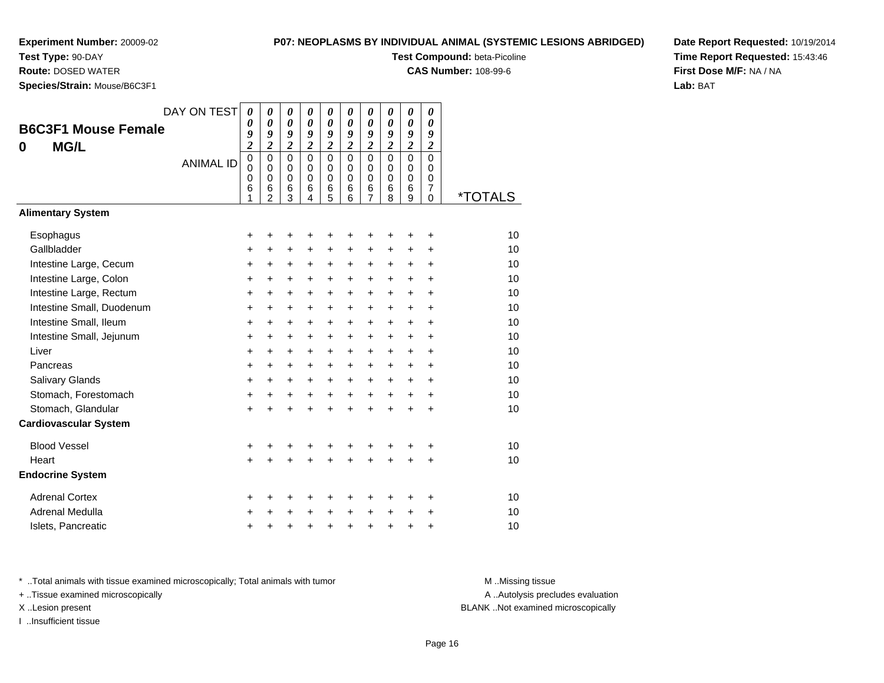**Test Type:** 90-DAY

**Route:** DOSED WATER

**Species/Strain:** Mouse/B6C3F1

### **P07: NEOPLASMS BY INDIVIDUAL ANIMAL (SYSTEMIC LESIONS ABRIDGED)**

**Test Compound:** beta-Picoline

**CAS Number:** 108-99-6

**Date Report Requested:** 10/19/2014**Time Report Requested:** 15:43:46**First Dose M/F:** NA / NA**Lab:** BAT

| <b>B6C3F1 Mouse Female</b><br><b>MG/L</b><br>0 | DAY ON TEST<br><b>ANIMAL ID</b> | 0<br>0<br>9<br>$\overline{c}$<br>$\overline{0}$<br>0<br>0<br>6<br>1 | 0<br>0<br>9<br>$\overline{c}$<br>$\Omega$<br>$\mathbf 0$<br>$\mathbf 0$<br>6<br>$\overline{2}$ | 0<br>$\boldsymbol{\theta}$<br>9<br>$\overline{\mathbf{c}}$<br>$\Omega$<br>$\mathbf 0$<br>$\mathbf 0$<br>$6\phantom{1}6$<br>3 | 0<br>0<br>9<br>$\overline{\mathbf{c}}$<br>$\Omega$<br>$\mathbf 0$<br>$\mathbf 0$<br>6<br>4 | 0<br>$\boldsymbol{\theta}$<br>9<br>$\overline{\mathbf{c}}$<br>$\mathbf 0$<br>$\mathbf 0$<br>$\mathbf 0$<br>6<br>5 | 0<br>0<br>9<br>$\overline{2}$<br>$\Omega$<br>$\mathbf 0$<br>$\Omega$<br>6<br>6 | 0<br>$\theta$<br>9<br>$\boldsymbol{2}$<br>$\Omega$<br>$\mathbf 0$<br>$\mathbf 0$<br>6<br>$\overline{7}$ | 0<br>$\boldsymbol{\theta}$<br>9<br>$\overline{\mathbf{c}}$<br>$\mathbf 0$<br>$\mathbf 0$<br>$\mathbf 0$<br>6<br>8 | 0<br>$\boldsymbol{\theta}$<br>9<br>$\overline{2}$<br>$\overline{0}$<br>$\mathbf 0$<br>0<br>6<br>9 | 0<br>0<br>9<br>$\overline{\mathbf{c}}$<br>$\overline{0}$<br>$\mathbf 0$<br>0<br>7<br>$\Omega$ | <i><b>*TOTALS</b></i> |
|------------------------------------------------|---------------------------------|---------------------------------------------------------------------|------------------------------------------------------------------------------------------------|------------------------------------------------------------------------------------------------------------------------------|--------------------------------------------------------------------------------------------|-------------------------------------------------------------------------------------------------------------------|--------------------------------------------------------------------------------|---------------------------------------------------------------------------------------------------------|-------------------------------------------------------------------------------------------------------------------|---------------------------------------------------------------------------------------------------|-----------------------------------------------------------------------------------------------|-----------------------|
| <b>Alimentary System</b>                       |                                 |                                                                     |                                                                                                |                                                                                                                              |                                                                                            |                                                                                                                   |                                                                                |                                                                                                         |                                                                                                                   |                                                                                                   |                                                                                               |                       |
| Esophagus                                      |                                 | +                                                                   | +                                                                                              | +                                                                                                                            | +                                                                                          | +                                                                                                                 | +                                                                              | +                                                                                                       | ٠                                                                                                                 | +                                                                                                 | +                                                                                             | 10                    |
| Gallbladder                                    |                                 | $\ddot{}$                                                           | +                                                                                              | $\ddot{}$                                                                                                                    | $\ddot{}$                                                                                  | $\ddot{}$                                                                                                         | +                                                                              | +                                                                                                       | +                                                                                                                 | +                                                                                                 | $\ddot{}$                                                                                     | 10                    |
| Intestine Large, Cecum                         |                                 | +                                                                   | $\ddot{}$                                                                                      | $\ddot{}$                                                                                                                    | $\ddot{}$                                                                                  | $\ddot{}$                                                                                                         | $\ddot{}$                                                                      | +                                                                                                       | +                                                                                                                 | +                                                                                                 | +                                                                                             | 10                    |
| Intestine Large, Colon                         |                                 | $\ddot{}$                                                           | +                                                                                              | $\ddot{}$                                                                                                                    | $\ddot{}$                                                                                  | $\ddot{}$                                                                                                         | $\ddot{}$                                                                      | $\ddot{}$                                                                                               | $\ddot{}$                                                                                                         | $\ddot{}$                                                                                         | $\ddot{}$                                                                                     | 10                    |
| Intestine Large, Rectum                        |                                 | +                                                                   | $\ddot{}$                                                                                      | $\ddot{}$                                                                                                                    | $\ddot{}$                                                                                  | $\ddot{}$                                                                                                         | $\ddot{}$                                                                      | +                                                                                                       | +                                                                                                                 | $\ddot{}$                                                                                         | +                                                                                             | 10                    |
| Intestine Small, Duodenum                      |                                 | $\ddot{}$                                                           | $\ddot{}$                                                                                      | $\ddot{}$                                                                                                                    | $\ddot{}$                                                                                  | $\ddot{}$                                                                                                         | $\ddot{}$                                                                      | $\ddot{}$                                                                                               | $\ddot{}$                                                                                                         | $\ddot{}$                                                                                         | ÷                                                                                             | 10                    |
| Intestine Small, Ileum                         |                                 | +                                                                   | $\ddot{}$                                                                                      | $\ddot{}$                                                                                                                    | $\ddot{}$                                                                                  | $\ddot{}$                                                                                                         | $\ddot{}$                                                                      | +                                                                                                       | +                                                                                                                 | $\ddot{}$                                                                                         | +                                                                                             | 10                    |
| Intestine Small, Jejunum                       |                                 | $\ddot{}$                                                           | $\ddot{}$                                                                                      | $\ddot{}$                                                                                                                    | $\ddot{}$                                                                                  | $\ddot{}$                                                                                                         | $\ddot{}$                                                                      | $\ddot{}$                                                                                               | $\ddot{}$                                                                                                         | $\ddot{}$                                                                                         | ÷                                                                                             | 10                    |
| Liver                                          |                                 | +                                                                   | $\ddot{}$                                                                                      | +                                                                                                                            | $\ddot{}$                                                                                  | +                                                                                                                 | $\ddot{}$                                                                      | $\ddot{}$                                                                                               | +                                                                                                                 | $\ddot{}$                                                                                         | +                                                                                             | 10                    |
| Pancreas                                       |                                 | $\ddot{}$                                                           | $\ddot{}$                                                                                      | $\ddot{}$                                                                                                                    | $\ddot{}$                                                                                  | $\ddot{}$                                                                                                         | $\ddot{}$                                                                      | $\ddot{}$                                                                                               | $\ddot{}$                                                                                                         | $\ddot{}$                                                                                         | ÷                                                                                             | 10<br>10              |
| <b>Salivary Glands</b><br>Stomach, Forestomach |                                 | +                                                                   | $\ddot{}$                                                                                      | $\ddot{}$                                                                                                                    | $\ddot{}$                                                                                  | $\ddot{}$                                                                                                         | $+$                                                                            | $\ddot{}$                                                                                               | $\ddot{}$                                                                                                         | $\ddot{}$                                                                                         | +                                                                                             | 10                    |
| Stomach, Glandular                             |                                 | +                                                                   | +                                                                                              | +                                                                                                                            | $\ddot{}$                                                                                  | $\ddot{}$                                                                                                         | $\ddot{}$                                                                      | $\ddot{}$<br>$\ddot{}$                                                                                  | $\ddot{}$                                                                                                         | $\ddot{}$                                                                                         | +                                                                                             | 10                    |
| <b>Cardiovascular System</b>                   |                                 | $\ddot{}$                                                           | +                                                                                              | $\ddot{}$                                                                                                                    |                                                                                            | $\ddot{}$                                                                                                         | $\ddot{}$                                                                      |                                                                                                         | $\ddot{}$                                                                                                         | $\ddot{}$                                                                                         | +                                                                                             |                       |
| <b>Blood Vessel</b>                            |                                 | +                                                                   | +                                                                                              | +                                                                                                                            |                                                                                            | +                                                                                                                 | +                                                                              | +                                                                                                       | +                                                                                                                 |                                                                                                   | +                                                                                             | 10                    |
| Heart                                          |                                 | +                                                                   |                                                                                                |                                                                                                                              |                                                                                            |                                                                                                                   |                                                                                | Ŧ.                                                                                                      | Ŧ.                                                                                                                | +                                                                                                 | $\ddot{}$                                                                                     | 10                    |
| <b>Endocrine System</b>                        |                                 |                                                                     |                                                                                                |                                                                                                                              |                                                                                            |                                                                                                                   |                                                                                |                                                                                                         |                                                                                                                   |                                                                                                   |                                                                                               |                       |
| <b>Adrenal Cortex</b>                          |                                 | +                                                                   | +                                                                                              | +                                                                                                                            |                                                                                            | +                                                                                                                 | +                                                                              | +                                                                                                       | +                                                                                                                 | +                                                                                                 | +                                                                                             | 10                    |
| Adrenal Medulla                                |                                 | ٠                                                                   |                                                                                                | +                                                                                                                            |                                                                                            | +                                                                                                                 | $\ddot{}$                                                                      | +                                                                                                       | +                                                                                                                 | +                                                                                                 | ٠                                                                                             | 10                    |
| Islets, Pancreatic                             |                                 | +                                                                   | +                                                                                              | +                                                                                                                            |                                                                                            | +                                                                                                                 | +                                                                              | +                                                                                                       | +                                                                                                                 | +                                                                                                 | +                                                                                             | 10                    |

\* ..Total animals with tissue examined microscopically; Total animals with tumor **M** . Missing tissue M ..Missing tissue

+ ..Tissue examined microscopically

I ..Insufficient tissue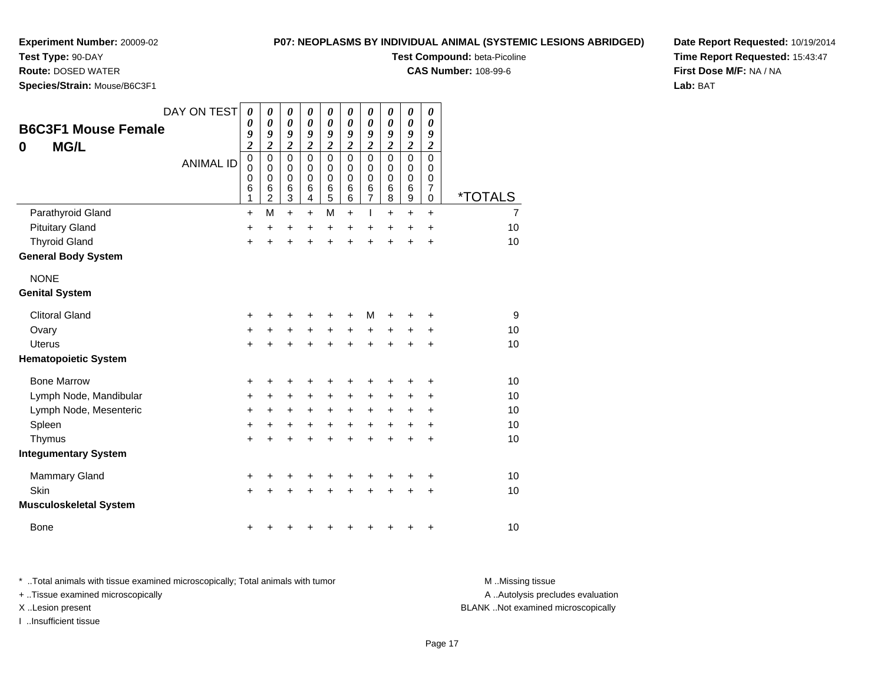**Test Type:** 90-DAY

**Route:** DOSED WATER

**Species/Strain:** Mouse/B6C3F1

### **P07: NEOPLASMS BY INDIVIDUAL ANIMAL (SYSTEMIC LESIONS ABRIDGED)**

**Test Compound:** beta-Picoline

**CAS Number:** 108-99-6

**Date Report Requested:** 10/19/2014**Time Report Requested:** 15:43:47**First Dose M/F:** NA / NA**Lab:** BAT

| <b>B6C3F1 Mouse Female</b><br><b>MG/L</b><br>0 | DAY ON TEST<br><b>ANIMAL ID</b> | 0<br>0<br>9<br>$\overline{c}$<br>0<br>0<br>0<br>6<br>1 | 0<br>$\boldsymbol{\theta}$<br>9<br>$\overline{\mathbf{c}}$<br>$\mathbf 0$<br>0<br>$\pmb{0}$<br>6<br>$\overline{c}$ | $\boldsymbol{\theta}$<br>$\boldsymbol{\theta}$<br>9<br>$\overline{\mathbf{c}}$<br>$\mathbf 0$<br>0<br>0<br>6<br>$\mathbf{3}$ | $\boldsymbol{\theta}$<br>$\boldsymbol{\theta}$<br>9<br>$\overline{c}$<br>$\Omega$<br>$\mathbf 0$<br>$\mathbf 0$<br>6<br>4 | 0<br>$\boldsymbol{\theta}$<br>9<br>$\overline{\mathbf{c}}$<br>$\Omega$<br>0<br>$\mathbf 0$<br>6<br>5 | $\boldsymbol{\theta}$<br>0<br>9<br>$\overline{\mathbf{c}}$<br>$\Omega$<br>0<br>0<br>6<br>6 | 0<br>$\boldsymbol{\theta}$<br>9<br>$\overline{\mathbf{c}}$<br>$\mathbf 0$<br>$\mathbf 0$<br>$\pmb{0}$<br>$\,6$<br>$\overline{7}$ | 0<br>$\boldsymbol{\theta}$<br>9<br>$\overline{\mathbf{c}}$<br>$\mathbf{0}$<br>0<br>$\mathbf 0$<br>$\,6$<br>8 | $\boldsymbol{\theta}$<br>$\boldsymbol{\theta}$<br>9<br>$\overline{\mathbf{c}}$<br>$\mathbf 0$<br>$\mathbf 0$<br>$\pmb{0}$<br>$\,6$<br>$\mathsf g$ | 0<br>0<br>9<br>$\overline{\mathbf{c}}$<br>$\Omega$<br>0<br>0<br>$\boldsymbol{7}$<br>$\mathbf 0$ | <i><b>*TOTALS</b></i> |
|------------------------------------------------|---------------------------------|--------------------------------------------------------|--------------------------------------------------------------------------------------------------------------------|------------------------------------------------------------------------------------------------------------------------------|---------------------------------------------------------------------------------------------------------------------------|------------------------------------------------------------------------------------------------------|--------------------------------------------------------------------------------------------|----------------------------------------------------------------------------------------------------------------------------------|--------------------------------------------------------------------------------------------------------------|---------------------------------------------------------------------------------------------------------------------------------------------------|-------------------------------------------------------------------------------------------------|-----------------------|
| Parathyroid Gland                              |                                 | +                                                      | M                                                                                                                  | $\ddot{}$                                                                                                                    | $\ddot{}$                                                                                                                 | M                                                                                                    | $\ddot{}$                                                                                  | T                                                                                                                                | +                                                                                                            | $\ddot{}$                                                                                                                                         | $+$                                                                                             | $\overline{7}$        |
| <b>Pituitary Gland</b>                         |                                 | +                                                      | $\ddot{}$                                                                                                          | +                                                                                                                            | +                                                                                                                         | +                                                                                                    | +                                                                                          | +                                                                                                                                | +                                                                                                            | +                                                                                                                                                 | +                                                                                               | 10                    |
| <b>Thyroid Gland</b>                           |                                 | +                                                      | +                                                                                                                  | +                                                                                                                            | +                                                                                                                         | +                                                                                                    | +                                                                                          | $\ddot{}$                                                                                                                        | +                                                                                                            | $\ddot{}$                                                                                                                                         | $\ddot{}$                                                                                       | 10                    |
| <b>General Body System</b>                     |                                 |                                                        |                                                                                                                    |                                                                                                                              |                                                                                                                           |                                                                                                      |                                                                                            |                                                                                                                                  |                                                                                                              |                                                                                                                                                   |                                                                                                 |                       |
| <b>NONE</b>                                    |                                 |                                                        |                                                                                                                    |                                                                                                                              |                                                                                                                           |                                                                                                      |                                                                                            |                                                                                                                                  |                                                                                                              |                                                                                                                                                   |                                                                                                 |                       |
| <b>Genital System</b>                          |                                 |                                                        |                                                                                                                    |                                                                                                                              |                                                                                                                           |                                                                                                      |                                                                                            |                                                                                                                                  |                                                                                                              |                                                                                                                                                   |                                                                                                 |                       |
| <b>Clitoral Gland</b>                          |                                 | +                                                      |                                                                                                                    | +                                                                                                                            |                                                                                                                           | +                                                                                                    |                                                                                            | M                                                                                                                                |                                                                                                              |                                                                                                                                                   | +                                                                                               | 9                     |
| Ovary                                          |                                 | +                                                      | +                                                                                                                  | +                                                                                                                            | $\ddot{}$                                                                                                                 | $\ddot{}$                                                                                            | $\ddot{}$                                                                                  | +                                                                                                                                | +                                                                                                            | +                                                                                                                                                 | +                                                                                               | 10                    |
| <b>Uterus</b>                                  |                                 | $\ddot{}$                                              |                                                                                                                    | $\ddot{}$                                                                                                                    | +                                                                                                                         | $\ddot{}$                                                                                            | ÷                                                                                          | $\ddot{}$                                                                                                                        |                                                                                                              |                                                                                                                                                   | +                                                                                               | 10                    |
| <b>Hematopoietic System</b>                    |                                 |                                                        |                                                                                                                    |                                                                                                                              |                                                                                                                           |                                                                                                      |                                                                                            |                                                                                                                                  |                                                                                                              |                                                                                                                                                   |                                                                                                 |                       |
| <b>Bone Marrow</b>                             |                                 | +                                                      | +                                                                                                                  | +                                                                                                                            | +                                                                                                                         | +                                                                                                    |                                                                                            | +                                                                                                                                |                                                                                                              |                                                                                                                                                   | +                                                                                               | 10                    |
| Lymph Node, Mandibular                         |                                 | +                                                      | +                                                                                                                  | +                                                                                                                            | +                                                                                                                         | +                                                                                                    | +                                                                                          | +                                                                                                                                | +                                                                                                            | +                                                                                                                                                 | +                                                                                               | 10                    |
| Lymph Node, Mesenteric                         |                                 | +                                                      | +                                                                                                                  | +                                                                                                                            | +                                                                                                                         | +                                                                                                    | +                                                                                          | $\ddot{}$                                                                                                                        | +                                                                                                            | +                                                                                                                                                 | +                                                                                               | 10                    |
| Spleen                                         |                                 | +                                                      | +                                                                                                                  | +                                                                                                                            | +                                                                                                                         | +                                                                                                    | +                                                                                          | +                                                                                                                                | +                                                                                                            | +                                                                                                                                                 | +                                                                                               | 10                    |
| Thymus                                         |                                 | $\ddot{}$                                              | +                                                                                                                  | +                                                                                                                            |                                                                                                                           | +                                                                                                    |                                                                                            |                                                                                                                                  |                                                                                                              | $\ddot{}$                                                                                                                                         | $\ddot{}$                                                                                       | 10                    |
| <b>Integumentary System</b>                    |                                 |                                                        |                                                                                                                    |                                                                                                                              |                                                                                                                           |                                                                                                      |                                                                                            |                                                                                                                                  |                                                                                                              |                                                                                                                                                   |                                                                                                 |                       |
| <b>Mammary Gland</b>                           |                                 | +                                                      | +                                                                                                                  | +                                                                                                                            | +                                                                                                                         | +                                                                                                    | +                                                                                          | +                                                                                                                                | +                                                                                                            | +                                                                                                                                                 | +                                                                                               | 10                    |
| Skin                                           |                                 | $\ddot{}$                                              |                                                                                                                    | +                                                                                                                            |                                                                                                                           |                                                                                                      |                                                                                            |                                                                                                                                  |                                                                                                              |                                                                                                                                                   | +                                                                                               | 10                    |
| <b>Musculoskeletal System</b>                  |                                 |                                                        |                                                                                                                    |                                                                                                                              |                                                                                                                           |                                                                                                      |                                                                                            |                                                                                                                                  |                                                                                                              |                                                                                                                                                   |                                                                                                 |                       |
| <b>Bone</b>                                    |                                 | +                                                      |                                                                                                                    |                                                                                                                              |                                                                                                                           |                                                                                                      |                                                                                            |                                                                                                                                  |                                                                                                              |                                                                                                                                                   | +                                                                                               | 10                    |

\* ..Total animals with tissue examined microscopically; Total animals with tumor **M** . Missing tissue M ..Missing tissue A ..Autolysis precludes evaluation + ..Tissue examined microscopically X ..Lesion present BLANK ..Not examined microscopicallyI ..Insufficient tissue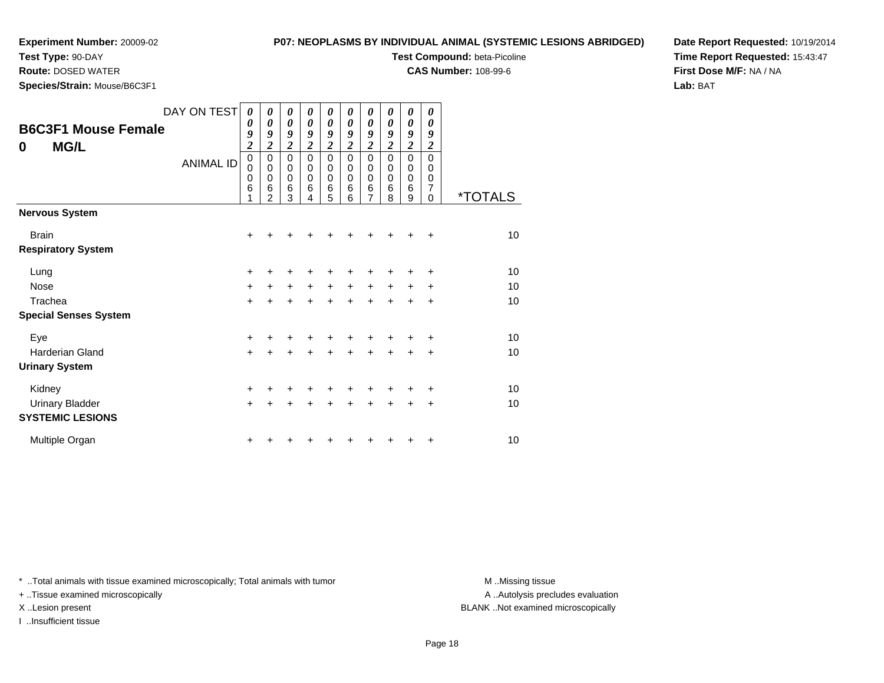# **P07: NEOPLASMS BY INDIVIDUAL ANIMAL (SYSTEMIC LESIONS ABRIDGED)**

**Test Compound:** beta-Picoline**CAS Number:** 108-99-6

**Test Type:** 90-DAY

**Route:** DOSED WATER

**Species/Strain:** Mouse/B6C3F1

**Date Report Requested:** 10/19/2014**Time Report Requested:** 15:43:47**First Dose M/F:** NA / NA**Lab:** BAT

| <b>B6C3F1 Mouse Female</b><br><b>MG/L</b><br>$\bf{0}$ | DAY ON TEST<br><b>ANIMAL ID</b> | $\boldsymbol{\theta}$<br>$\boldsymbol{\theta}$<br>9<br>$\overline{2}$<br>$\mathbf 0$<br>0<br>$\mathbf 0$<br>6<br>1 | 0<br>0<br>9<br>$\boldsymbol{2}$<br>$\mathbf 0$<br>$\mathbf 0$<br>$\mathbf 0$<br>6<br>$\mathfrak{p}$ | 0<br>0<br>9<br>$\overline{\mathbf{c}}$<br>$\mathbf 0$<br>0<br>0<br>6<br>3 | 0<br>0<br>9<br>$\boldsymbol{2}$<br>$\mathbf 0$<br>$\Omega$<br>0<br>6<br>4 | 0<br>0<br>9<br>$\boldsymbol{2}$<br>$\mathbf 0$<br>0<br>0<br>6<br>5 | 0<br>$\boldsymbol{\theta}$<br>9<br>$\boldsymbol{2}$<br>$\mathbf 0$<br>$\mathbf 0$<br>$\Omega$<br>6<br>6 | 0<br>0<br>9<br>$\overline{\mathbf{c}}$<br>$\mathbf 0$<br>0<br>$\mathbf 0$<br>$\,6$<br>7 | 0<br>0<br>9<br>$\boldsymbol{2}$<br>$\mathbf 0$<br>$\mathbf 0$<br>$\mathbf 0$<br>6<br>8 | 0<br>0<br>9<br>$\overline{\mathbf{c}}$<br>$\mathbf 0$<br>$\mathbf 0$<br>$\mathbf 0$<br>6<br>9 | 0<br>0<br>9<br>$\boldsymbol{2}$<br>$\Omega$<br>0<br>0<br>7<br>$\Omega$ | <i><b>*TOTALS</b></i> |
|-------------------------------------------------------|---------------------------------|--------------------------------------------------------------------------------------------------------------------|-----------------------------------------------------------------------------------------------------|---------------------------------------------------------------------------|---------------------------------------------------------------------------|--------------------------------------------------------------------|---------------------------------------------------------------------------------------------------------|-----------------------------------------------------------------------------------------|----------------------------------------------------------------------------------------|-----------------------------------------------------------------------------------------------|------------------------------------------------------------------------|-----------------------|
| <b>Nervous System</b>                                 |                                 |                                                                                                                    |                                                                                                     |                                                                           |                                                                           |                                                                    |                                                                                                         |                                                                                         |                                                                                        |                                                                                               |                                                                        |                       |
| <b>Brain</b><br><b>Respiratory System</b>             |                                 | +                                                                                                                  |                                                                                                     |                                                                           |                                                                           |                                                                    |                                                                                                         |                                                                                         |                                                                                        |                                                                                               | +                                                                      | 10                    |
| Lung                                                  |                                 | +                                                                                                                  |                                                                                                     |                                                                           |                                                                           |                                                                    |                                                                                                         |                                                                                         |                                                                                        |                                                                                               | +                                                                      | 10                    |
| <b>Nose</b>                                           |                                 | $\ddot{}$                                                                                                          | +                                                                                                   | $+$                                                                       | $\ddot{}$                                                                 | $\ddot{}$                                                          | $\ddot{}$                                                                                               | $\ddot{}$                                                                               | $\ddot{}$                                                                              | $\ddot{}$                                                                                     | +                                                                      | 10                    |
| Trachea                                               |                                 | $\ddot{}$                                                                                                          | +                                                                                                   | $\ddot{}$                                                                 | $\ddot{}$                                                                 | $\ddot{}$                                                          | $\ddot{}$                                                                                               | $\ddot{}$                                                                               | $\ddot{}$                                                                              | $\ddot{}$                                                                                     | $\ddot{}$                                                              | 10                    |
| <b>Special Senses System</b>                          |                                 |                                                                                                                    |                                                                                                     |                                                                           |                                                                           |                                                                    |                                                                                                         |                                                                                         |                                                                                        |                                                                                               |                                                                        |                       |
| Eye                                                   |                                 | +                                                                                                                  |                                                                                                     |                                                                           |                                                                           |                                                                    |                                                                                                         |                                                                                         |                                                                                        |                                                                                               | +                                                                      | 10                    |
| Harderian Gland                                       |                                 | $\ddot{}$                                                                                                          | $\ddot{}$                                                                                           | $\ddot{}$                                                                 | $\ddot{}$                                                                 | $\ddot{}$                                                          | $\ddot{}$                                                                                               | $\ddot{}$                                                                               | $\ddot{}$                                                                              | +                                                                                             | $\ddot{}$                                                              | 10                    |
| <b>Urinary System</b>                                 |                                 |                                                                                                                    |                                                                                                     |                                                                           |                                                                           |                                                                    |                                                                                                         |                                                                                         |                                                                                        |                                                                                               |                                                                        |                       |
| Kidney                                                |                                 | +                                                                                                                  |                                                                                                     | +                                                                         |                                                                           | +                                                                  |                                                                                                         |                                                                                         |                                                                                        |                                                                                               | ÷                                                                      | 10                    |
| <b>Urinary Bladder</b>                                |                                 | $+$                                                                                                                |                                                                                                     | $\ddot{}$                                                                 | $\ddot{}$                                                                 | $\ddot{}$                                                          | $\ddot{}$                                                                                               | $\ddot{}$                                                                               | $\ddot{}$                                                                              | +                                                                                             | $\ddot{}$                                                              | 10                    |
| <b>SYSTEMIC LESIONS</b>                               |                                 |                                                                                                                    |                                                                                                     |                                                                           |                                                                           |                                                                    |                                                                                                         |                                                                                         |                                                                                        |                                                                                               |                                                                        |                       |
| Multiple Organ                                        |                                 | +                                                                                                                  |                                                                                                     |                                                                           |                                                                           |                                                                    |                                                                                                         |                                                                                         |                                                                                        | ٠                                                                                             | +                                                                      | 10                    |

\* ..Total animals with tissue examined microscopically; Total animals with tumor **M** . Missing tissue M ..Missing tissue

+ ..Tissue examined microscopically

I ..Insufficient tissue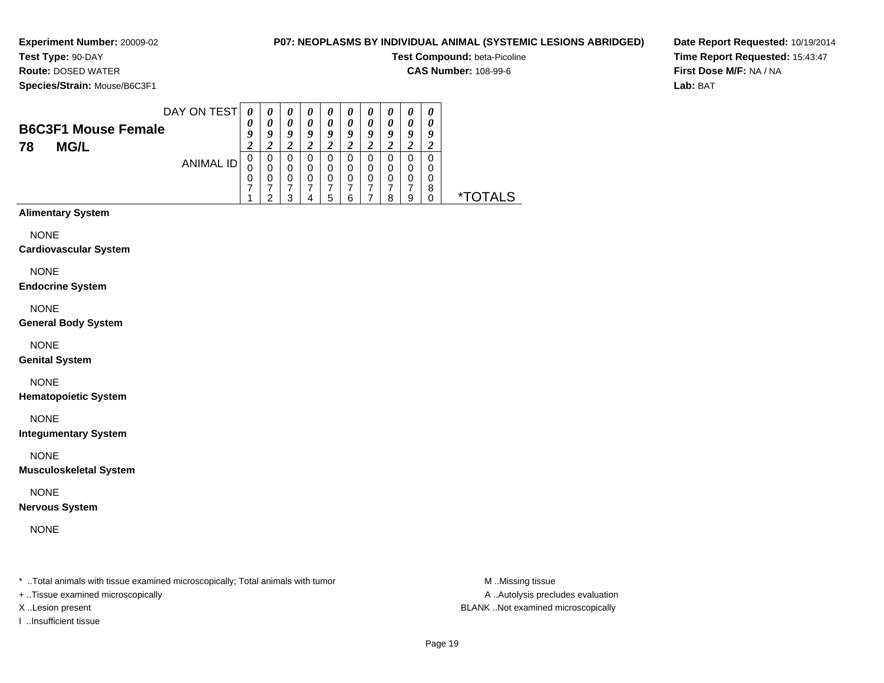**Experiment Number:** 20009-02**Test Type:** 90-DAY

# **P07: NEOPLASMS BY INDIVIDUAL ANIMAL (SYSTEMIC LESIONS ABRIDGED)**

**Test Compound:** beta-Picoline

**CAS Number:** 108-99-6

**Species/Strain:** Mouse/B6C3F1

**Route:** DOSED WATER

**Date Report Requested:** 10/19/2014**Time Report Requested:** 15:43:47**First Dose M/F:** NA / NA**Lab:** BAT

|                            | DAY ON TEST | 0 | 0                | U | $\boldsymbol{\theta}$ | $\boldsymbol{\theta}$ | U                     | $\boldsymbol{\theta}$ | IJ | 0 | 0 |
|----------------------------|-------------|---|------------------|---|-----------------------|-----------------------|-----------------------|-----------------------|----|---|---|
| <b>B6C3F1 Mouse Female</b> |             | 0 | 0                | 0 |                       | 0                     | $\boldsymbol{\theta}$ | 0                     | 0  | 0 |   |
|                            |             | 9 | $\boldsymbol{0}$ | 9 | Q                     | 9                     | 9                     | 9                     | q  | 9 | q |
| <b>MG/L</b><br>78          |             |   |                  |   |                       |                       |                       |                       |    |   |   |
|                            | ANIMAL ID   | U | 0                |   |                       | 0                     |                       | 0                     |    | 0 | 0 |
|                            |             |   | 0                |   |                       | 0                     | 0                     | 0                     | 0  | 0 | 0 |
|                            |             | 0 | 0                | 0 |                       | 0                     | 0                     | 0                     | O  | 0 | 0 |
|                            |             |   |                  |   |                       |                       |                       |                       | я  |   | 8 |
|                            |             |   |                  |   |                       | 5                     |                       |                       |    | 9 |   |

# **Alimentary System**

NONE

**Cardiovascular System**

NONE

**Endocrine System**

NONE

**General Body System**

NONE

**Genital System**

NONE

**Hematopoietic System**

NONE

**Integumentary System**

NONE

**Musculoskeletal System**

NONE

**Nervous System**

NONE

\* ..Total animals with tissue examined microscopically; Total animals with tumor **M** ...Missing tissue M ...Missing tissue

+ ..Tissue examined microscopically

I ..Insufficient tissue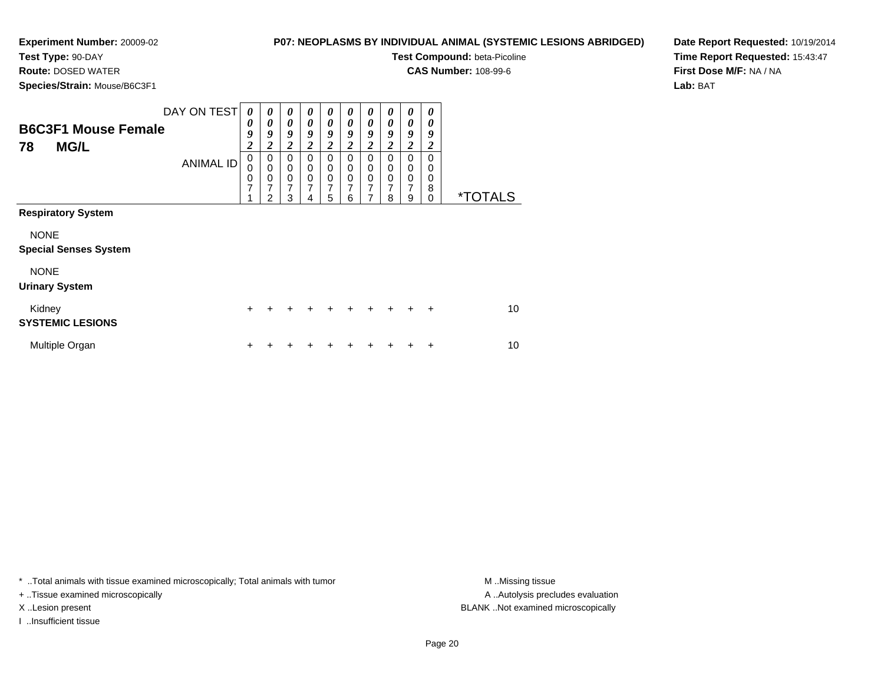**Test Type:** 90-DAY**Route:** DOSED WATER

# **P07: NEOPLASMS BY INDIVIDUAL ANIMAL (SYSTEMIC LESIONS ABRIDGED)**

**Test Compound:** beta-Picoline

**CAS Number:** 108-99-6

**Species/Strain:** Mouse/B6C3F1

**Date Report Requested:** 10/19/2014**Time Report Requested:** 15:43:47**First Dose M/F:** NA / NA**Lab:** BAT

| <b>B6C3F1 Mouse Female</b><br><b>MG/L</b><br>78                                                                  | DAY ON TEST<br><b>ANIMAL ID</b> | $\boldsymbol{\theta}$<br>$\boldsymbol{\theta}$<br>9<br>$\boldsymbol{2}$<br>$\pmb{0}$<br>$\mathbf 0$<br>$\frac{0}{7}$ | $\boldsymbol{\theta}$<br>0<br>9<br>$\overline{2}$<br>0<br>$\mathbf 0$<br>$\pmb{0}$<br>7<br>2 | 0<br>$\boldsymbol{\theta}$<br>9<br>$\overline{2}$<br>0<br>$\mathbf 0$<br>$\pmb{0}$<br>7<br>3 | 0<br>$\boldsymbol{\theta}$<br>9<br>2<br>0<br>0<br>$\mathbf 0$<br>7<br>4 | 0<br>0<br>9<br>$\overline{c}$<br>0<br>0<br>$\mathbf 0$<br>7<br>5 | 0<br>0<br>9<br>$\overline{2}$<br>0<br>0<br>$\mathbf 0$<br>7<br>6 | 0<br>$\boldsymbol{\theta}$<br>9<br>$\boldsymbol{2}$<br>0<br>0<br>$\mathsf 0$<br>7<br>7 | 0<br>$\boldsymbol{\theta}$<br>9<br>2<br>$\Omega$<br>0<br>$\mathbf 0$<br>7<br>8 | 0<br>0<br>9<br>$\overline{\mathbf{c}}$<br>0<br>0<br>$\pmb{0}$<br>7<br>9 | 0<br>0<br>9<br>2<br>0<br>$\mathbf 0$<br>$\mathbf 0$<br>8<br>$\Omega$ | <i><b>*TOTALS</b></i> |
|------------------------------------------------------------------------------------------------------------------|---------------------------------|----------------------------------------------------------------------------------------------------------------------|----------------------------------------------------------------------------------------------|----------------------------------------------------------------------------------------------|-------------------------------------------------------------------------|------------------------------------------------------------------|------------------------------------------------------------------|----------------------------------------------------------------------------------------|--------------------------------------------------------------------------------|-------------------------------------------------------------------------|----------------------------------------------------------------------|-----------------------|
| <b>Respiratory System</b><br><b>NONE</b><br><b>Special Senses System</b><br><b>NONE</b><br><b>Urinary System</b> |                                 |                                                                                                                      |                                                                                              |                                                                                              |                                                                         |                                                                  |                                                                  |                                                                                        |                                                                                |                                                                         |                                                                      |                       |
| Kidney<br><b>SYSTEMIC LESIONS</b>                                                                                |                                 | $\ddot{}$                                                                                                            |                                                                                              |                                                                                              |                                                                         |                                                                  |                                                                  | $\div$                                                                                 | $+$                                                                            | $\ddot{}$                                                               | $\ddot{}$                                                            | 10                    |
| Multiple Organ                                                                                                   |                                 | ٠                                                                                                                    |                                                                                              |                                                                                              |                                                                         |                                                                  |                                                                  |                                                                                        |                                                                                |                                                                         | ÷                                                                    | 10                    |

\* ..Total animals with tissue examined microscopically; Total animals with tumor **M** . Missing tissue M ..Missing tissue

+ ..Tissue examined microscopically

I ..Insufficient tissue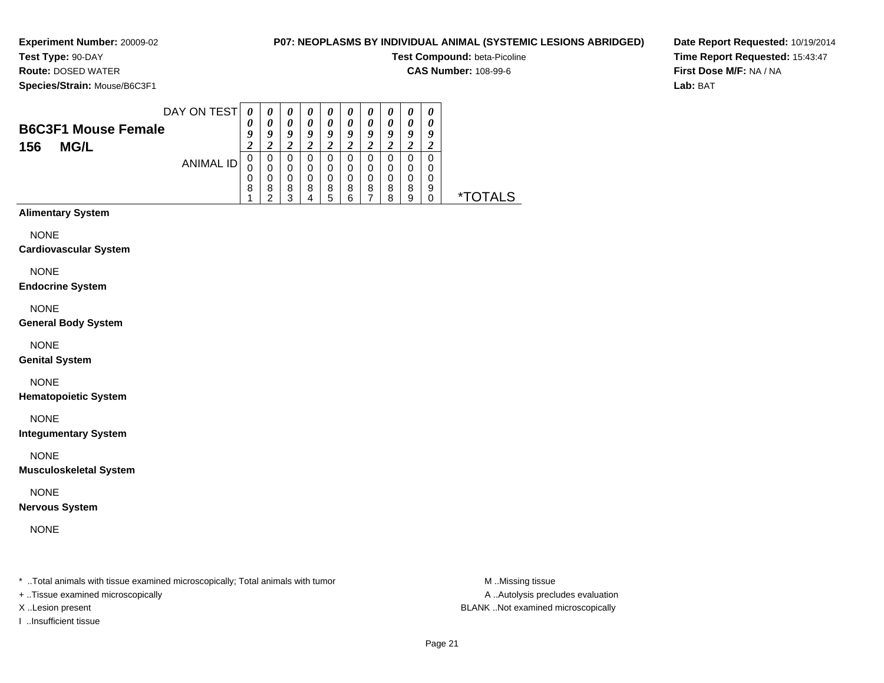**Test Type:** 90-DAY**Route:** DOSED WATER

# **P07: NEOPLASMS BY INDIVIDUAL ANIMAL (SYSTEMIC LESIONS ABRIDGED)**

**Test Compound:** beta-Picoline

**CAS Number:** 108-99-6

**Species/Strain:** Mouse/B6C3F1

**Date Report Requested:** 10/19/2014**Time Report Requested:** 15:43:47**First Dose M/F:** NA / NA**Lab:** BAT

| DAY ON TEST                | 0                          | $\boldsymbol{\theta}$ | $\boldsymbol{\theta}$ | $\boldsymbol{\theta}$ | U      | 0        | $\boldsymbol{\theta}$ | 0      | $\boldsymbol{\theta}$ | $\boldsymbol{\theta}$ |                       |
|----------------------------|----------------------------|-----------------------|-----------------------|-----------------------|--------|----------|-----------------------|--------|-----------------------|-----------------------|-----------------------|
| <b>B6C3F1 Mouse Female</b> | U<br>$\boldsymbol{\Omega}$ | $\boldsymbol{a}$      | $\theta$<br>9         | 9                     | 0<br>Q | 0<br>Q   | 0<br>9                | 0<br>o | 0<br>9                | 9                     |                       |
| <b>MG/L</b><br>156         |                            |                       | 2                     |                       |        |          |                       |        | ∠                     |                       |                       |
| ANIMAL ID                  | O                          |                       | 0<br>0                |                       | 0<br>0 |          | 0<br>0                | 0      | 0<br>0                | 0<br>O                |                       |
|                            | 0                          |                       | 0                     | 0                     | 0      | 0        | 0                     | 0      | 0                     | O                     |                       |
|                            | 8                          | 8                     | 8<br>っ                | 8                     | 8<br>h | 8<br>ี่ค | 8                     | 8<br>я | 8<br>9                | 9                     | <i><b>*TOTALS</b></i> |

# **Alimentary System**

NONE

### **Cardiovascular System**

NONE

### **Endocrine System**

NONE

### **General Body System**

NONE

### **Genital System**

# NONE

**Hematopoietic System**

NONE

### **Integumentary System**

NONE

### **Musculoskeletal System**

NONE

### **Nervous System**

NONE

\* ..Total animals with tissue examined microscopically; Total animals with tumor **M** ..Missing tissue M ..Missing tissue

+ ..Tissue examined microscopically

I ..Insufficient tissue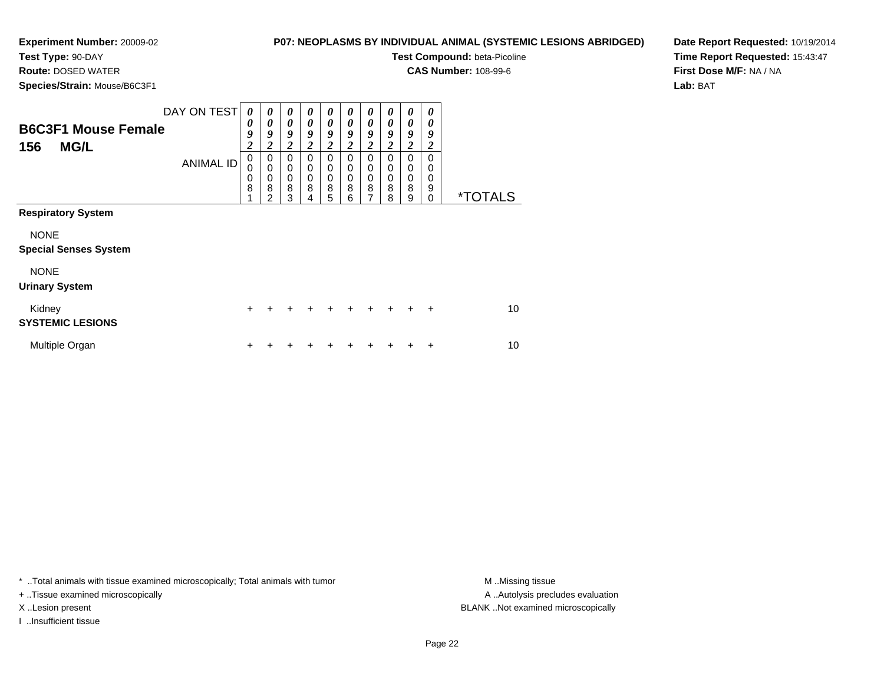**Test Type:** 90-DAY**Route:** DOSED WATER

# **P07: NEOPLASMS BY INDIVIDUAL ANIMAL (SYSTEMIC LESIONS ABRIDGED)**

**Test Compound:** beta-Picoline

**CAS Number:** 108-99-6

**Date Report Requested:** 10/19/2014**Time Report Requested:** 15:43:47**First Dose M/F:** NA / NA**Lab:** BAT

**Species/Strain:** Mouse/B6C3F1

| <b>Opecles/Otilatil.</b> MOUSE/DOUSE I                                              |                                                                                          |                                                                              |                                                                         |                                                                 |                                                                |                                                         |                                                                                  |                                                                           |                                                                                  |                                                         |                       |
|-------------------------------------------------------------------------------------|------------------------------------------------------------------------------------------|------------------------------------------------------------------------------|-------------------------------------------------------------------------|-----------------------------------------------------------------|----------------------------------------------------------------|---------------------------------------------------------|----------------------------------------------------------------------------------|---------------------------------------------------------------------------|----------------------------------------------------------------------------------|---------------------------------------------------------|-----------------------|
| DAY ON TEST<br><b>B6C3F1 Mouse Female</b><br>156<br><b>MG/L</b><br><b>ANIMAL ID</b> | 0<br>0<br>9<br>$\overline{\mathbf{c}}$<br>$\mathbf 0$<br>$\mathbf 0$<br>$\mathbf 0$<br>8 | 0<br>0<br>9<br>$\boldsymbol{2}$<br>$\mathbf 0$<br>0<br>$\mathbf 0$<br>8<br>2 | 0<br>0<br>9<br>$\overline{c}$<br>$\Omega$<br>0<br>$\mathbf 0$<br>8<br>3 | 0<br>0<br>9<br>$\boldsymbol{2}$<br>$\Omega$<br>0<br>0<br>8<br>4 | 0<br>0<br>9<br>$\overline{c}$<br>0<br>0<br>$\pmb{0}$<br>8<br>5 | 0<br>0<br>9<br>2<br>$\Omega$<br>$\Omega$<br>0<br>8<br>6 | 0<br>0<br>9<br>$\overline{\mathbf{2}}$<br>$\Omega$<br>0<br>$\mathbf 0$<br>8<br>7 | 0<br>0<br>9<br>$\boldsymbol{2}$<br>$\Omega$<br>0<br>$\mathbf 0$<br>8<br>8 | 0<br>0<br>9<br>$\overline{\mathbf{c}}$<br>$\Omega$<br>0<br>$\mathbf 0$<br>8<br>9 | 0<br>0<br>9<br>2<br>$\Omega$<br>0<br>0<br>9<br>$\Omega$ | <i><b>*TOTALS</b></i> |
| <b>Respiratory System</b>                                                           |                                                                                          |                                                                              |                                                                         |                                                                 |                                                                |                                                         |                                                                                  |                                                                           |                                                                                  |                                                         |                       |
| <b>NONE</b><br><b>Special Senses System</b>                                         |                                                                                          |                                                                              |                                                                         |                                                                 |                                                                |                                                         |                                                                                  |                                                                           |                                                                                  |                                                         |                       |
| <b>NONE</b><br><b>Urinary System</b>                                                |                                                                                          |                                                                              |                                                                         |                                                                 |                                                                |                                                         |                                                                                  |                                                                           |                                                                                  |                                                         |                       |
| Kidney<br><b>SYSTEMIC LESIONS</b>                                                   | $\ddot{}$                                                                                |                                                                              | +                                                                       |                                                                 | +                                                              | ÷                                                       |                                                                                  | $+$                                                                       | $+$                                                                              | $\overline{+}$                                          | 10                    |
| Multiple Organ                                                                      | ÷                                                                                        |                                                                              |                                                                         |                                                                 |                                                                |                                                         |                                                                                  |                                                                           |                                                                                  | ÷                                                       | 10                    |

\* ..Total animals with tissue examined microscopically; Total animals with tumor **M** . Missing tissue M ..Missing tissue

+ ..Tissue examined microscopically

I ..Insufficient tissue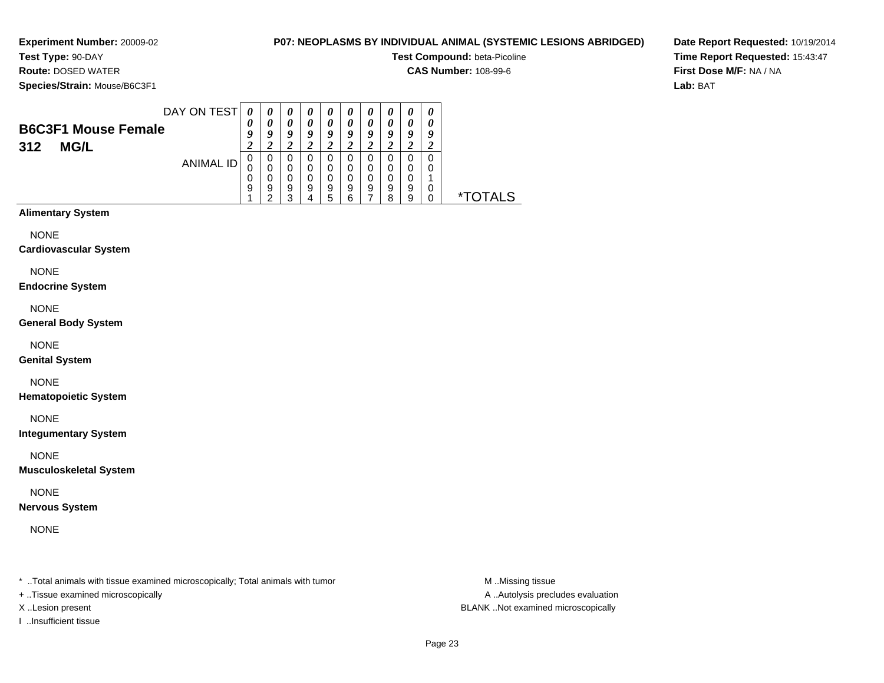**Test Type:** 90-DAY**Route:** DOSED WATER

# **P07: NEOPLASMS BY INDIVIDUAL ANIMAL (SYSTEMIC LESIONS ABRIDGED)**

**Test Compound:** beta-Picoline

**CAS Number:** 108-99-6

**Species/Strain:** Mouse/B6C3F1

**Date Report Requested:** 10/19/2014**Time Report Requested:** 15:43:47**First Dose M/F:** NA / NA**Lab:** BAT

|                            | DAY ON TEST | 0                | $\boldsymbol{\theta}$ | $\boldsymbol{\theta}$ | $\boldsymbol{\theta}$ | $\boldsymbol{\theta}$ | $\boldsymbol{\theta}$ | $\boldsymbol{\theta}$ | $\boldsymbol{\theta}$ | $\boldsymbol{\theta}$ | $\boldsymbol{\theta}$ |
|----------------------------|-------------|------------------|-----------------------|-----------------------|-----------------------|-----------------------|-----------------------|-----------------------|-----------------------|-----------------------|-----------------------|
| <b>B6C3F1 Mouse Female</b> |             | 0                |                       | 0                     | 0                     | 0                     | 0                     | 0                     | 0                     | 0                     |                       |
|                            |             | $\boldsymbol{0}$ | o                     | 9                     | 9                     | Q                     | Q                     | 9                     | 0                     | 9                     | 9                     |
| <b>MG/L</b><br>312         |             |                  |                       |                       |                       |                       |                       | $\epsilon$            |                       | ∠                     |                       |
|                            | ANIMAL ID   | U                | 0                     | 0                     |                       | 0                     |                       | 0                     |                       | 0                     | 0                     |
|                            |             |                  |                       | 0                     | 0                     | 0                     | 0                     | 0                     | 0                     | 0                     | O                     |
|                            |             | 0                |                       | 0                     | 0                     | 0                     | 0                     | 0                     | 0                     | 0                     |                       |
|                            |             | 9                | 9                     | 9<br>っ                | 9                     | 9                     | 9                     | 9                     | 9<br>я                | 9<br>9                | 0                     |
|                            |             |                  |                       |                       |                       | h                     |                       |                       |                       |                       |                       |

# **Alimentary System**

NONE

### **Cardiovascular System**

NONE

### **Endocrine System**

NONE

### **General Body System**

NONE

### **Genital System**

# NONE

**Hematopoietic System**

NONE

### **Integumentary System**

NONE

### **Musculoskeletal System**

NONE

### **Nervous System**

NONE

\* ..Total animals with tissue examined microscopically; Total animals with tumor **M** ..Missing tissue M ..Missing tissue

- + ..Tissue examined microscopically
- 
- I ..Insufficient tissue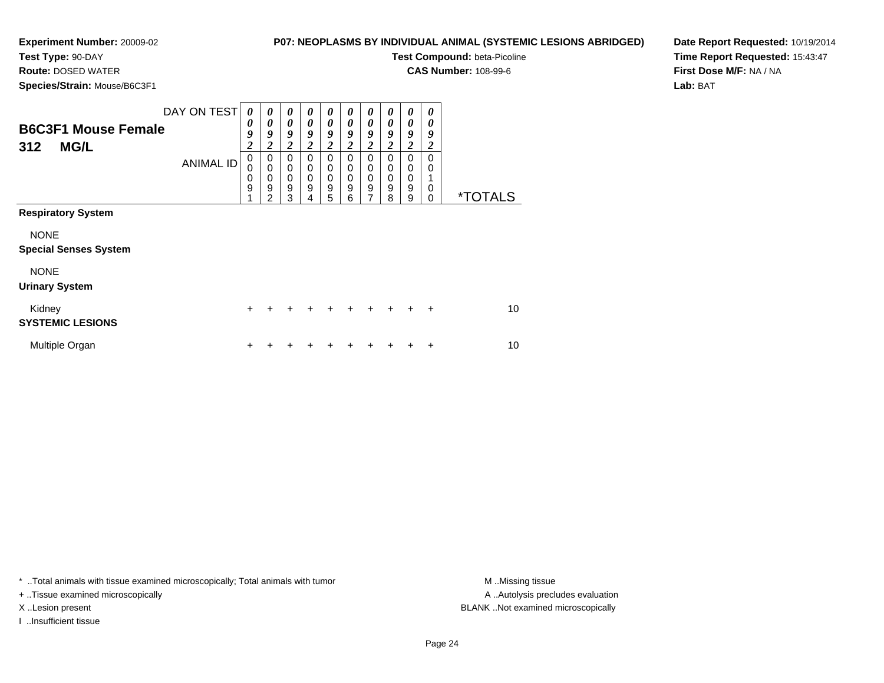**Test Type:** 90-DAY**Route:** DOSED WATER

# **P07: NEOPLASMS BY INDIVIDUAL ANIMAL (SYSTEMIC LESIONS ABRIDGED)**

**Test Compound:** beta-Picoline

**CAS Number:** 108-99-6

**Species/Strain:** Mouse/B6C3F1

**Date Report Requested:** 10/19/2014**Time Report Requested:** 15:43:47**First Dose M/F:** NA / NA**Lab:** BAT

| ----- <i>-------</i> -------                |                  |                                      |                  |                                                             |                  |                  |                                   |                            |                                   |                          |                       |                       |
|---------------------------------------------|------------------|--------------------------------------|------------------|-------------------------------------------------------------|------------------|------------------|-----------------------------------|----------------------------|-----------------------------------|--------------------------|-----------------------|-----------------------|
| <b>B6C3F1 Mouse Female</b>                  | DAY ON TEST      | 0<br>0<br>9                          | 0<br>0<br>9      | 0<br>$\boldsymbol{\theta}$<br>9                             | 0<br>0<br>9      | 0<br>0<br>9      | 0<br>0<br>9                       | 0<br>0<br>9                | 0<br>0<br>9                       | 0<br>0<br>9              | 0<br>0<br>9           |                       |
| <b>MG/L</b><br>312                          |                  | $\overline{\mathbf{c}}$              | 2                | $\boldsymbol{2}$                                            | $\overline{c}$   | $\overline{c}$   | 2                                 | $\boldsymbol{2}$           | $\overline{2}$                    | $\overline{2}$           | $\boldsymbol{2}$      |                       |
|                                             | <b>ANIMAL ID</b> | $\mathbf 0$<br>0<br>$\mathbf 0$<br>9 | 0<br>0<br>0<br>9 | $\mathbf 0$<br>$\mathbf 0$<br>$\pmb{0}$<br>$\boldsymbol{9}$ | 0<br>0<br>0<br>9 | 0<br>0<br>0<br>9 | $\Omega$<br>0<br>$\mathbf 0$<br>9 | 0<br>0<br>$\mathbf 0$<br>9 | $\Omega$<br>0<br>$\mathbf 0$<br>9 | 0<br>0<br>$\pmb{0}$<br>9 | $\mathbf 0$<br>0<br>0 |                       |
|                                             |                  | 4                                    | $\mathfrak{p}$   | 3                                                           | 4                | 5                | 6                                 | 7                          | 8                                 | 9                        | 0                     | <i><b>*TOTALS</b></i> |
| <b>Respiratory System</b>                   |                  |                                      |                  |                                                             |                  |                  |                                   |                            |                                   |                          |                       |                       |
| <b>NONE</b><br><b>Special Senses System</b> |                  |                                      |                  |                                                             |                  |                  |                                   |                            |                                   |                          |                       |                       |
| <b>NONE</b><br><b>Urinary System</b>        |                  |                                      |                  |                                                             |                  |                  |                                   |                            |                                   |                          |                       |                       |
| Kidney<br><b>SYSTEMIC LESIONS</b>           |                  | $\pm$                                |                  |                                                             |                  |                  |                                   |                            | $\ddot{}$                         | $\ddot{}$                | $\ddot{}$             | 10                    |
| Multiple Organ                              |                  | ٠                                    |                  |                                                             |                  |                  |                                   |                            |                                   |                          | ٠                     | 10                    |

\* ..Total animals with tissue examined microscopically; Total animals with tumor **M** . Missing tissue M ..Missing tissue

+ ..Tissue examined microscopically

I ..Insufficient tissue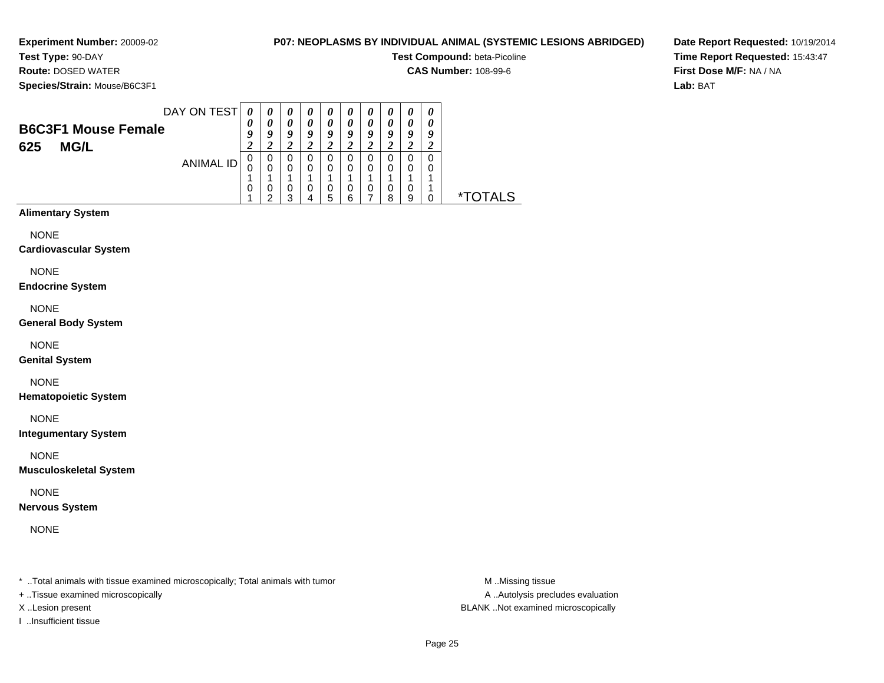**Experiment Number:** 20009-02**Test Type:** 90-DAY

# **P07: NEOPLASMS BY INDIVIDUAL ANIMAL (SYSTEMIC LESIONS ABRIDGED)**

**Test Compound:** beta-Picoline

**CAS Number:** 108-99-6

**Species/Strain:** Mouse/B6C3F1

**Route:** DOSED WATER

**Date Report Requested:** 10/19/2014**Time Report Requested:** 15:43:47**First Dose M/F:** NA / NA**Lab:** BAT

|                            |             | DAY ON TEST |        | 0      | $\boldsymbol{\theta}$ | $\boldsymbol{v}$           | $\boldsymbol{\theta}$ | U      | $\boldsymbol{\theta}$ | $\boldsymbol{\theta}$ | 0      | 0      |           |
|----------------------------|-------------|-------------|--------|--------|-----------------------|----------------------------|-----------------------|--------|-----------------------|-----------------------|--------|--------|-----------|
| <b>B6C3F1 Mouse Female</b> |             |             | 0<br>9 | 0<br>9 | 0<br>9                | $\boldsymbol{\theta}$<br>o | 0<br>9                | 0<br>9 | 0<br>9                | 0<br>Q                | 0<br>9 | 0<br>q |           |
| 625                        | <b>MG/L</b> |             |        |        |                       |                            |                       |        |                       |                       |        |        |           |
|                            | ANIMAL ID   | U           | 0      |        |                       | 0<br>$\Omega$              | 0                     | 0<br>0 | $\Omega$              | 0<br>0                | 0<br>0 |        |           |
|                            |             |             |        |        |                       |                            |                       |        |                       |                       |        |        |           |
|                            |             |             | 0      |        | 0<br>っ                |                            | 0<br>5                | 0      | 0                     | 0<br>я                | 0<br>9 |        | AL S<br>× |

# **Alimentary System**

NONE

**Cardiovascular System**

NONE

**Endocrine System**

NONE

**General Body System**

NONE

**Genital System**

NONE

**Hematopoietic System**

NONE

**Integumentary System**

NONE

**Musculoskeletal System**

NONE

**Nervous System**

NONE

\* ..Total animals with tissue examined microscopically; Total animals with tumor **M** ...Missing tissue M ...Missing tissue

+ ..Tissue examined microscopically

I ..Insufficient tissue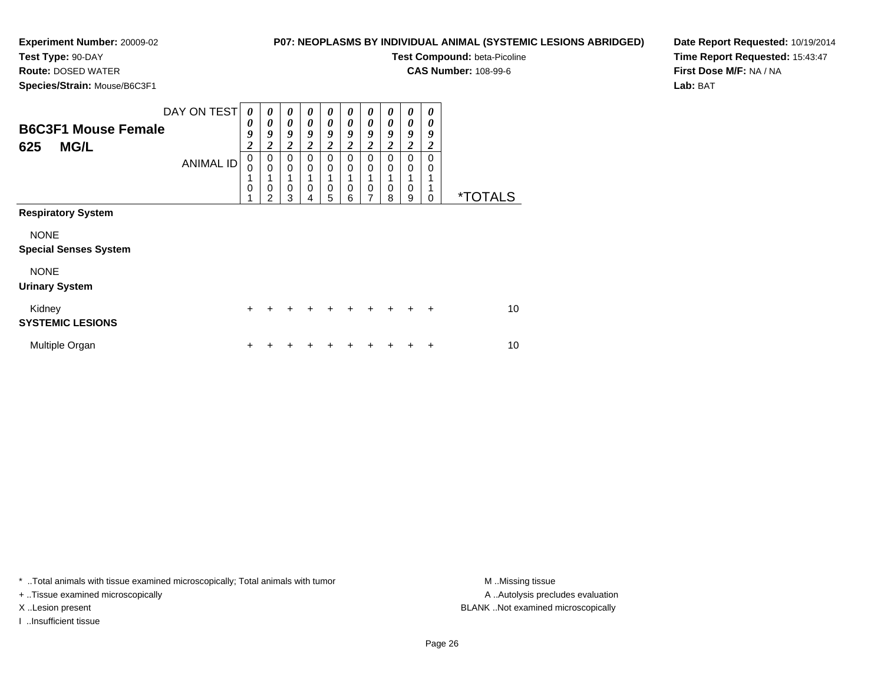**Test Type:** 90-DAY**Route:** DOSED WATER

# **P07: NEOPLASMS BY INDIVIDUAL ANIMAL (SYSTEMIC LESIONS ABRIDGED)**

**Test Compound:** beta-Picoline

**CAS Number:** 108-99-6

**Species/Strain:** Mouse/B6C3F1

**Date Report Requested:** 10/19/2014**Time Report Requested:** 15:43:47**First Dose M/F:** NA / NA**Lab:** BAT

| <b>B6C3F1 Mouse Female</b>        | DAY ON TEST      | 0<br>0<br>9      | 0<br>$\boldsymbol{\theta}$<br>9 | $\boldsymbol{\theta}$<br>0<br>9 | 0<br>0<br>9          | 0<br>0<br>9      | 0<br>0<br>9             | 0<br>0<br>9      | 0<br>0<br>9          | 0<br>0<br>9   | 0<br>0<br>9      |                       |
|-----------------------------------|------------------|------------------|---------------------------------|---------------------------------|----------------------|------------------|-------------------------|------------------|----------------------|---------------|------------------|-----------------------|
| <b>MG/L</b><br>625                |                  | $\overline{c}$   | $\overline{c}$                  | $\boldsymbol{2}$                | 2                    | $\boldsymbol{2}$ | $\overline{\mathbf{c}}$ | $\boldsymbol{2}$ | $\boldsymbol{2}$     | 2             | $\boldsymbol{2}$ |                       |
|                                   | <b>ANIMAL ID</b> | $\pmb{0}$<br>0   | $\mathbf 0$<br>$\mathbf 0$      | $\mathbf 0$<br>$\mathbf 0$      | $\Omega$<br>$\Omega$ | $\Omega$<br>0    | 0<br>0                  | $\Omega$<br>0    | $\Omega$<br>$\Omega$ | $\Omega$<br>0 | $\Omega$<br>0    |                       |
|                                   |                  | 1<br>$\mathbf 0$ | 0<br>$\overline{2}$             | 1<br>$\mathbf 0$<br>3           | 0<br>4               | 1<br>0<br>5      | 0<br>6                  | 0<br>7           | 0<br>8               | 1<br>0<br>9   | 0                | <i><b>*TOTALS</b></i> |
| <b>Respiratory System</b>         |                  |                  |                                 |                                 |                      |                  |                         |                  |                      |               |                  |                       |
| <b>NONE</b>                       |                  |                  |                                 |                                 |                      |                  |                         |                  |                      |               |                  |                       |
| <b>Special Senses System</b>      |                  |                  |                                 |                                 |                      |                  |                         |                  |                      |               |                  |                       |
| <b>NONE</b>                       |                  |                  |                                 |                                 |                      |                  |                         |                  |                      |               |                  |                       |
| <b>Urinary System</b>             |                  |                  |                                 |                                 |                      |                  |                         |                  |                      |               |                  |                       |
| Kidney<br><b>SYSTEMIC LESIONS</b> |                  | $\ddot{}$        |                                 |                                 |                      |                  | $\ddot{}$               | $\div$           | $\ddot{}$            | $+$           | $\ddot{}$        | 10                    |
| Multiple Organ                    |                  | ٠                |                                 |                                 |                      |                  |                         |                  |                      |               | ÷                | 10                    |

\* ..Total animals with tissue examined microscopically; Total animals with tumor **M** . Missing tissue M ..Missing tissue

+ ..Tissue examined microscopically

I ..Insufficient tissue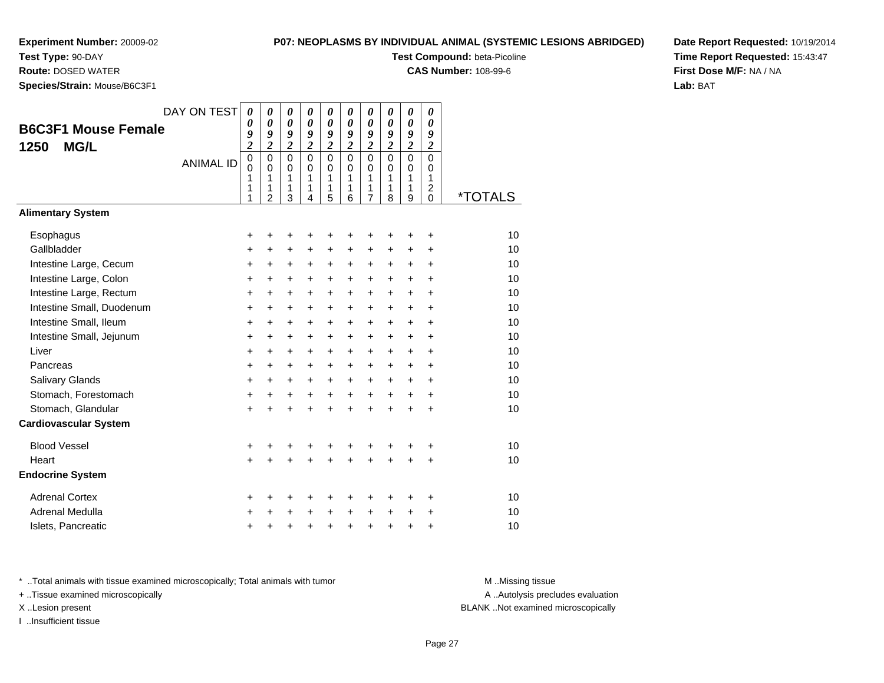**Test Type:** 90-DAY

**Route:** DOSED WATER

**Species/Strain:** Mouse/B6C3F1

# **P07: NEOPLASMS BY INDIVIDUAL ANIMAL (SYSTEMIC LESIONS ABRIDGED)**

**Test Compound:** beta-Picoline

**CAS Number:** 108-99-6

**Date Report Requested:** 10/19/2014**Time Report Requested:** 15:43:47**First Dose M/F:** NA / NA**Lab:** BAT

| <b>B6C3F1 Mouse Female</b><br><b>MG/L</b><br>1250 | DAY ON TEST<br><b>ANIMAL ID</b> | $\boldsymbol{\theta}$<br>0<br>9<br>$\overline{\mathbf{c}}$<br>$\mathbf 0$<br>$\mathbf{0}$<br>1<br>1<br>1 | $\boldsymbol{\theta}$<br>$\boldsymbol{\theta}$<br>9<br>$\overline{2}$<br>$\mathbf 0$<br>$\Omega$<br>1<br>1<br>$\overline{2}$ | $\boldsymbol{\theta}$<br>$\boldsymbol{\theta}$<br>9<br>$\overline{2}$<br>$\mathbf 0$<br>$\Omega$<br>1<br>1<br>3 | 0<br>$\boldsymbol{\theta}$<br>9<br>$\overline{\mathbf{c}}$<br>$\mathbf{0}$<br>$\Omega$<br>1<br>1<br>4 | 0<br>$\boldsymbol{\theta}$<br>9<br>$\overline{\mathbf{c}}$<br>$\mathbf 0$<br>$\mathbf 0$<br>1<br>1<br>5 | 0<br>0<br>9<br>$\boldsymbol{2}$<br>$\Omega$<br>$\Omega$<br>1<br>1<br>6 | 0<br>$\boldsymbol{\theta}$<br>9<br>$\boldsymbol{2}$<br>$\mathbf 0$<br>$\Omega$<br>1<br>1<br>$\overline{7}$ | 0<br>$\theta$<br>9<br>$\boldsymbol{2}$<br>$\Omega$<br>$\Omega$<br>1<br>1<br>8 | $\boldsymbol{\theta}$<br>$\boldsymbol{\theta}$<br>9<br>$\overline{c}$<br>$\mathbf 0$<br>$\mathbf 0$<br>1<br>1<br>9 | 0<br>$\boldsymbol{\theta}$<br>9<br>$\boldsymbol{2}$<br>$\mathbf 0$<br>$\Omega$<br>1<br>$\overline{c}$<br>$\Omega$ | <i><b>*TOTALS</b></i> |
|---------------------------------------------------|---------------------------------|----------------------------------------------------------------------------------------------------------|------------------------------------------------------------------------------------------------------------------------------|-----------------------------------------------------------------------------------------------------------------|-------------------------------------------------------------------------------------------------------|---------------------------------------------------------------------------------------------------------|------------------------------------------------------------------------|------------------------------------------------------------------------------------------------------------|-------------------------------------------------------------------------------|--------------------------------------------------------------------------------------------------------------------|-------------------------------------------------------------------------------------------------------------------|-----------------------|
| <b>Alimentary System</b>                          |                                 |                                                                                                          |                                                                                                                              |                                                                                                                 |                                                                                                       |                                                                                                         |                                                                        |                                                                                                            |                                                                               |                                                                                                                    |                                                                                                                   |                       |
| Esophagus                                         |                                 | +                                                                                                        | +                                                                                                                            | +                                                                                                               |                                                                                                       | +                                                                                                       | +                                                                      | +                                                                                                          | +                                                                             | +                                                                                                                  | +                                                                                                                 | 10                    |
| Gallbladder                                       |                                 | +                                                                                                        | +                                                                                                                            | $\ddot{}$                                                                                                       | +                                                                                                     | +                                                                                                       | +                                                                      | +                                                                                                          | +                                                                             | +                                                                                                                  | +                                                                                                                 | 10                    |
| Intestine Large, Cecum                            |                                 | $\ddot{}$                                                                                                | +                                                                                                                            | $\ddot{}$                                                                                                       | +                                                                                                     | +                                                                                                       | $\ddot{}$                                                              | +                                                                                                          | +                                                                             | $\ddot{}$                                                                                                          | $\ddot{}$                                                                                                         | 10                    |
| Intestine Large, Colon                            |                                 | +                                                                                                        | +                                                                                                                            | +                                                                                                               | $\ddot{}$                                                                                             | $\ddot{}$                                                                                               | $\ddot{}$                                                              | +                                                                                                          | $\ddot{}$                                                                     | $\ddot{}$                                                                                                          | $\ddot{}$                                                                                                         | 10                    |
| Intestine Large, Rectum                           |                                 | $\ddot{}$                                                                                                | $\ddot{}$                                                                                                                    | $\ddot{}$                                                                                                       | $\ddot{}$                                                                                             | +                                                                                                       | $\ddot{}$                                                              | $\ddot{}$                                                                                                  | $\ddot{}$                                                                     | $\ddot{}$                                                                                                          | $\ddot{}$                                                                                                         | 10                    |
| Intestine Small, Duodenum                         |                                 | $\ddot{}$                                                                                                | +                                                                                                                            | $\ddot{}$                                                                                                       | +                                                                                                     | +                                                                                                       | $\ddot{}$                                                              | $\ddot{}$                                                                                                  | $\ddot{}$                                                                     | $\ddot{}$                                                                                                          | $\ddot{}$                                                                                                         | 10                    |
| Intestine Small, Ileum                            |                                 | +                                                                                                        | +                                                                                                                            | $\ddot{}$                                                                                                       | $\ddot{}$                                                                                             | $\ddot{}$                                                                                               | $\ddot{}$                                                              | $\ddot{}$                                                                                                  | $\ddot{}$                                                                     | $\ddot{}$                                                                                                          | $\ddot{}$                                                                                                         | 10                    |
| Intestine Small, Jejunum                          |                                 | +                                                                                                        | +                                                                                                                            | $\ddot{}$                                                                                                       | $\ddot{}$                                                                                             | +                                                                                                       | $\ddot{}$                                                              | $\ddot{}$                                                                                                  | $\ddot{}$                                                                     | +                                                                                                                  | $\ddot{}$                                                                                                         | 10                    |
| Liver                                             |                                 | $\ddot{}$                                                                                                | $\ddot{}$                                                                                                                    | $\ddot{}$                                                                                                       | $\ddot{}$                                                                                             | $\ddot{}$                                                                                               | $\ddot{}$                                                              | $\ddot{}$                                                                                                  | $\ddot{}$                                                                     | $+$                                                                                                                | $\ddot{}$                                                                                                         | 10                    |
| Pancreas                                          |                                 | +                                                                                                        | +                                                                                                                            | +                                                                                                               | +                                                                                                     | +                                                                                                       | +                                                                      | +                                                                                                          | +                                                                             | $\ddot{}$                                                                                                          | +                                                                                                                 | 10                    |
| Salivary Glands                                   |                                 | $\ddot{}$                                                                                                | $\ddot{}$                                                                                                                    | $\ddot{}$                                                                                                       | $\ddot{}$                                                                                             | $\ddot{}$                                                                                               | $\ddot{}$                                                              | $\ddot{}$                                                                                                  | $\ddot{}$                                                                     | $\ddot{}$                                                                                                          | $\ddot{}$                                                                                                         | 10                    |
| Stomach, Forestomach                              |                                 | $\ddot{}$                                                                                                | +                                                                                                                            | $\ddot{}$                                                                                                       | $\ddot{}$                                                                                             | $\ddot{}$                                                                                               | $+$                                                                    | $\ddot{}$                                                                                                  | $+$                                                                           | $+$                                                                                                                | $\ddot{}$                                                                                                         | 10                    |
| Stomach, Glandular                                |                                 | $\ddot{}$                                                                                                |                                                                                                                              | $\ddot{}$                                                                                                       |                                                                                                       | $\ddot{}$                                                                                               | $\ddot{}$                                                              | $\ddot{}$                                                                                                  | $\ddot{}$                                                                     | $+$                                                                                                                | $\ddot{}$                                                                                                         | 10                    |
| <b>Cardiovascular System</b>                      |                                 |                                                                                                          |                                                                                                                              |                                                                                                                 |                                                                                                       |                                                                                                         |                                                                        |                                                                                                            |                                                                               |                                                                                                                    |                                                                                                                   |                       |
| <b>Blood Vessel</b>                               |                                 | +                                                                                                        | +                                                                                                                            | +                                                                                                               | +                                                                                                     | +                                                                                                       | +                                                                      | +                                                                                                          | +                                                                             | ٠                                                                                                                  | +                                                                                                                 | 10                    |
| Heart                                             |                                 | $\ddot{}$                                                                                                |                                                                                                                              |                                                                                                                 |                                                                                                       | $\ddot{}$                                                                                               |                                                                        | $\ddot{}$                                                                                                  | $\ddot{}$                                                                     |                                                                                                                    | $\ddot{}$                                                                                                         | 10                    |
| <b>Endocrine System</b>                           |                                 |                                                                                                          |                                                                                                                              |                                                                                                                 |                                                                                                       |                                                                                                         |                                                                        |                                                                                                            |                                                                               |                                                                                                                    |                                                                                                                   |                       |
| <b>Adrenal Cortex</b>                             |                                 | +                                                                                                        | +                                                                                                                            | +                                                                                                               | +                                                                                                     | +                                                                                                       | ٠                                                                      | +                                                                                                          | +                                                                             | +                                                                                                                  | +                                                                                                                 | 10                    |
| Adrenal Medulla                                   |                                 | +                                                                                                        |                                                                                                                              | +                                                                                                               |                                                                                                       | +                                                                                                       | $\ddot{}$                                                              | $\ddot{}$                                                                                                  | $\ddot{}$                                                                     | $\ddot{}$                                                                                                          | $\div$                                                                                                            | 10                    |
| Islets, Pancreatic                                |                                 | +                                                                                                        | +                                                                                                                            | +                                                                                                               | +                                                                                                     | +                                                                                                       | $\ddot{}$                                                              | +                                                                                                          | $\ddot{}$                                                                     | +                                                                                                                  | +                                                                                                                 | 10                    |

\* ..Total animals with tissue examined microscopically; Total animals with tumor **M** . Missing tissue M ..Missing tissue

+ ..Tissue examined microscopically

I ..Insufficient tissue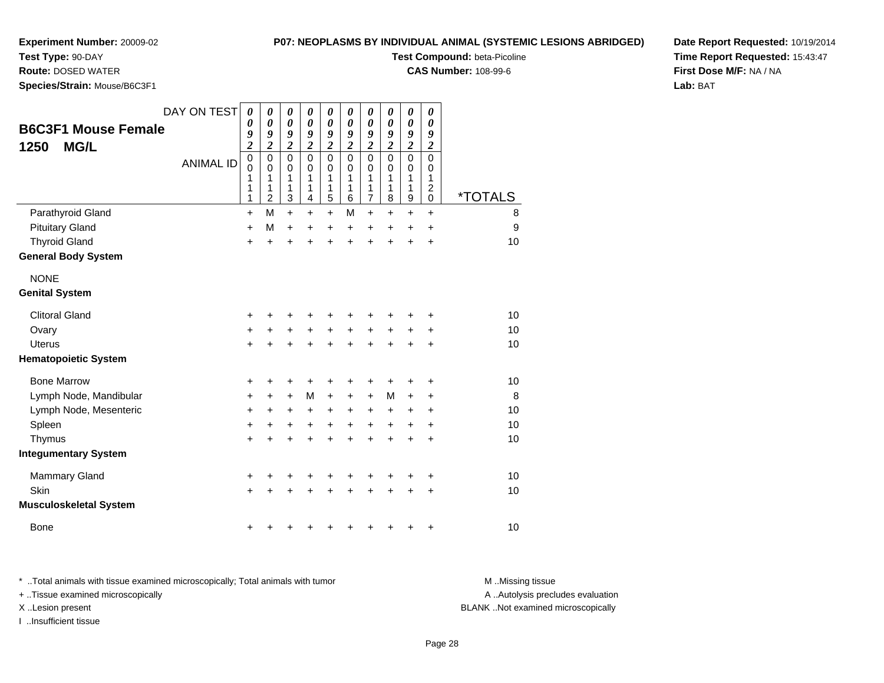**Test Type:** 90-DAY**Route:** DOSED WATER

# **P07: NEOPLASMS BY INDIVIDUAL ANIMAL (SYSTEMIC LESIONS ABRIDGED)**

**Test Compound:** beta-Picoline

**CAS Number:** 108-99-6

**Date Report Requested:** 10/19/2014**Time Report Requested:** 15:43:47**First Dose M/F:** NA / NA**Lab:** BAT

**Species/Strain:** Mouse/B6C3F1

| <b>B6C3F1 Mouse Female</b><br><b>MG/L</b><br>1250 | DAY ON TEST<br><b>ANIMAL ID</b> | 0<br>$\boldsymbol{\theta}$<br>9<br>$\overline{\mathbf{c}}$<br>$\mathbf 0$<br>$\mathbf 0$<br>1<br>1<br>1 | 0<br>$\boldsymbol{\theta}$<br>9<br>$\overline{\mathbf{c}}$<br>$\mathbf 0$<br>$\mathbf 0$<br>1<br>1<br>$\overline{c}$ | 0<br>$\boldsymbol{\theta}$<br>9<br>$\boldsymbol{2}$<br>$\mathbf 0$<br>$\mathbf 0$<br>1<br>1<br>$\mathbf{3}$ | 0<br>$\boldsymbol{\theta}$<br>9<br>$\overline{2}$<br>$\mathbf 0$<br>$\mathbf 0$<br>1<br>1<br>4 | 0<br>$\boldsymbol{\theta}$<br>9<br>$\overline{c}$<br>$\mathbf 0$<br>$\mathbf 0$<br>1<br>1<br>5 | 0<br>$\boldsymbol{\theta}$<br>9<br>$\boldsymbol{2}$<br>$\mathbf 0$<br>0<br>1<br>1<br>6 | 0<br>$\boldsymbol{\theta}$<br>9<br>$\overline{\mathbf{c}}$<br>$\mathsf 0$<br>$\mathbf 0$<br>1<br>1<br>$\overline{7}$ | 0<br>$\boldsymbol{\theta}$<br>9<br>$\overline{2}$<br>$\mathbf 0$<br>0<br>1<br>1<br>8 | $\pmb{\theta}$<br>$\boldsymbol{\theta}$<br>9<br>$\overline{\mathbf{c}}$<br>$\mathbf 0$<br>$\mathbf 0$<br>1<br>1<br>9 | 0<br>$\pmb{\theta}$<br>9<br>$\boldsymbol{2}$<br>$\mathbf 0$<br>0<br>1<br>$\overline{c}$<br>0 | <i><b>*TOTALS</b></i> |
|---------------------------------------------------|---------------------------------|---------------------------------------------------------------------------------------------------------|----------------------------------------------------------------------------------------------------------------------|-------------------------------------------------------------------------------------------------------------|------------------------------------------------------------------------------------------------|------------------------------------------------------------------------------------------------|----------------------------------------------------------------------------------------|----------------------------------------------------------------------------------------------------------------------|--------------------------------------------------------------------------------------|----------------------------------------------------------------------------------------------------------------------|----------------------------------------------------------------------------------------------|-----------------------|
| Parathyroid Gland                                 |                                 | $\ddot{}$                                                                                               | M                                                                                                                    | $\ddot{}$                                                                                                   | $\ddot{}$                                                                                      | $\ddot{}$                                                                                      | M                                                                                      | $\ddot{}$                                                                                                            | $\ddot{}$                                                                            | $\ddot{}$                                                                                                            | $\ddot{}$                                                                                    | 8                     |
| <b>Pituitary Gland</b>                            |                                 | $\ddot{}$                                                                                               | M                                                                                                                    | $\ddot{}$                                                                                                   | $\ddot{}$                                                                                      | +                                                                                              | $\ddot{}$                                                                              | +                                                                                                                    | $\ddot{}$                                                                            | $\ddot{}$                                                                                                            | $\pm$                                                                                        | 9                     |
| <b>Thyroid Gland</b>                              |                                 | $\ddot{}$                                                                                               | $\ddot{}$                                                                                                            | $\ddot{}$                                                                                                   |                                                                                                | $\ddot{}$                                                                                      | ÷                                                                                      | $\ddot{}$                                                                                                            | $\ddot{}$                                                                            | $\ddot{}$                                                                                                            | $\ddot{}$                                                                                    | 10                    |
| <b>General Body System</b>                        |                                 |                                                                                                         |                                                                                                                      |                                                                                                             |                                                                                                |                                                                                                |                                                                                        |                                                                                                                      |                                                                                      |                                                                                                                      |                                                                                              |                       |
| <b>NONE</b>                                       |                                 |                                                                                                         |                                                                                                                      |                                                                                                             |                                                                                                |                                                                                                |                                                                                        |                                                                                                                      |                                                                                      |                                                                                                                      |                                                                                              |                       |
| <b>Genital System</b>                             |                                 |                                                                                                         |                                                                                                                      |                                                                                                             |                                                                                                |                                                                                                |                                                                                        |                                                                                                                      |                                                                                      |                                                                                                                      |                                                                                              |                       |
| <b>Clitoral Gland</b>                             |                                 | +                                                                                                       | +                                                                                                                    | +                                                                                                           | +                                                                                              | +                                                                                              | +                                                                                      | +                                                                                                                    | +                                                                                    | +                                                                                                                    | +                                                                                            | 10                    |
| Ovary                                             |                                 | $\ddot{}$                                                                                               | +                                                                                                                    | $\ddot{}$                                                                                                   | $\ddot{}$                                                                                      | $\ddot{}$                                                                                      | $\ddot{}$                                                                              | $\ddot{}$                                                                                                            | $\ddot{}$                                                                            | +                                                                                                                    | $\ddot{}$                                                                                    | 10                    |
| <b>Uterus</b>                                     |                                 | $\ddot{}$                                                                                               | $\ddot{}$                                                                                                            | $\ddot{}$                                                                                                   | $\ddot{}$                                                                                      | $\ddot{}$                                                                                      | $\ddot{}$                                                                              | $\ddot{}$                                                                                                            | $\ddot{}$                                                                            | $\ddot{}$                                                                                                            | $\ddot{}$                                                                                    | 10                    |
| <b>Hematopoietic System</b>                       |                                 |                                                                                                         |                                                                                                                      |                                                                                                             |                                                                                                |                                                                                                |                                                                                        |                                                                                                                      |                                                                                      |                                                                                                                      |                                                                                              |                       |
| <b>Bone Marrow</b>                                |                                 | +                                                                                                       | +                                                                                                                    | +                                                                                                           | +                                                                                              | +                                                                                              | +                                                                                      | +                                                                                                                    | +                                                                                    | +                                                                                                                    | +                                                                                            | 10                    |
| Lymph Node, Mandibular                            |                                 | +                                                                                                       | +                                                                                                                    | $\ddot{}$                                                                                                   | M                                                                                              | $\ddot{}$                                                                                      | $\ddot{}$                                                                              | +                                                                                                                    | M                                                                                    | +                                                                                                                    | +                                                                                            | 8                     |
| Lymph Node, Mesenteric                            |                                 | +                                                                                                       | +                                                                                                                    | +                                                                                                           | +                                                                                              | +                                                                                              | +                                                                                      | +                                                                                                                    | +                                                                                    | +                                                                                                                    | +                                                                                            | 10                    |
| Spleen                                            |                                 | $\ddot{}$                                                                                               | $\ddot{}$                                                                                                            | $\ddot{}$                                                                                                   | $\ddot{}$                                                                                      | $\ddot{}$                                                                                      | $\ddot{}$                                                                              | $\ddot{}$                                                                                                            | $\ddot{}$                                                                            | $\ddot{}$                                                                                                            | $\ddot{}$                                                                                    | 10                    |
| Thymus                                            |                                 | $\ddot{}$                                                                                               | $\ddot{}$                                                                                                            | $\ddot{}$                                                                                                   | $\ddot{}$                                                                                      | $\ddot{}$                                                                                      | $\ddot{}$                                                                              | $\ddot{}$                                                                                                            | $\ddot{}$                                                                            | $\ddot{}$                                                                                                            | $\ddot{}$                                                                                    | 10                    |
| <b>Integumentary System</b>                       |                                 |                                                                                                         |                                                                                                                      |                                                                                                             |                                                                                                |                                                                                                |                                                                                        |                                                                                                                      |                                                                                      |                                                                                                                      |                                                                                              |                       |
| <b>Mammary Gland</b>                              |                                 | +                                                                                                       |                                                                                                                      | +                                                                                                           |                                                                                                | +                                                                                              | +                                                                                      | +                                                                                                                    | ٠                                                                                    | +                                                                                                                    | +                                                                                            | 10                    |
| Skin                                              |                                 | +                                                                                                       |                                                                                                                      |                                                                                                             |                                                                                                | +                                                                                              |                                                                                        | +                                                                                                                    | +                                                                                    | +                                                                                                                    | $\ddot{}$                                                                                    | 10                    |
| <b>Musculoskeletal System</b>                     |                                 |                                                                                                         |                                                                                                                      |                                                                                                             |                                                                                                |                                                                                                |                                                                                        |                                                                                                                      |                                                                                      |                                                                                                                      |                                                                                              |                       |
| <b>Bone</b>                                       |                                 | +                                                                                                       |                                                                                                                      |                                                                                                             |                                                                                                |                                                                                                |                                                                                        | +                                                                                                                    | +                                                                                    | +                                                                                                                    | +                                                                                            | 10                    |

\* ..Total animals with tissue examined microscopically; Total animals with tumor **M** . Missing tissue M ..Missing tissue + ..Tissue examined microscopically

I ..Insufficient tissue